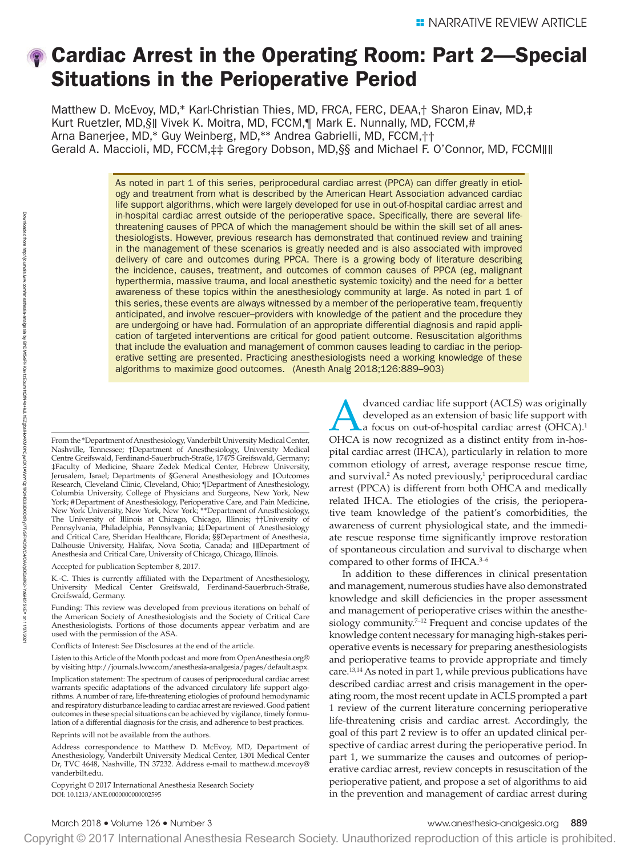# Cardiac Arrest in the Operating Room: Part 2—Special Situations in the Perioperative Period

Matthew D. McEvoy, MD,\* Karl-Christian Thies, MD, FRCA, FERC, DEAA,† Sharon Einav, MD,‡ Kurt Ruetzler, MD,§∥ Vivek K. Moitra, MD, FCCM,¶ Mark E. Nunnally, MD, FCCM,# Arna Banerjee, MD,\* Guy Weinberg, MD,\*\* Andrea Gabrielli, MD, FCCM,†† Gerald A. Maccioli, MD, FCCM,‡‡ Gregory Dobson, MD,§§ and Michael F. O'Connor, MD, FCCM∥∥

> As noted in part 1 of this series, periprocedural cardiac arrest (PPCA) can differ greatly in etiology and treatment from what is described by the American Heart Association advanced cardiac life support algorithms, which were largely developed for use in out-of-hospital cardiac arrest and in-hospital cardiac arrest outside of the perioperative space. Specifically, there are several lifethreatening causes of PPCA of which the management should be within the skill set of all anesthesiologists. However, previous research has demonstrated that continued review and training in the management of these scenarios is greatly needed and is also associated with improved delivery of care and outcomes during PPCA. There is a growing body of literature describing the incidence, causes, treatment, and outcomes of common causes of PPCA (eg, malignant hyperthermia, massive trauma, and local anesthetic systemic toxicity) and the need for a better awareness of these topics within the anesthesiology community at large. As noted in part 1 of this series, these events are always witnessed by a member of the perioperative team, frequently anticipated, and involve rescuer–providers with knowledge of the patient and the procedure they are undergoing or have had. Formulation of an appropriate differential diagnosis and rapid application of targeted interventions are critical for good patient outcome. Resuscitation algorithms that include the evaluation and management of common causes leading to cardiac in the perioperative setting are presented. Practicing anesthesiologists need a working knowledge of these algorithms to maximize good outcomes. (Anesth Analg 2018;126:889–903)

From the \*Department of Anesthesiology, Vanderbilt University Medical Center, Nashville, Tennessee; †Department of Anesthesiology, University Medical Centre Greifswald, Ferdinand-Sauerbruch-Straße, 17475 Greifswald, Germany; ‡Faculty of Medicine, Shaare Zedek Medical Center, Hebrew University, Jerusalem, Israel; Departments of §General Anesthesiology and ∥Outcomes Research, Cleveland Clinic, Cleveland, Ohio; ¶Department of Anesthesiology, Columbia University, College of Physicians and Surgeons, New York, New York; #Department of Anesthesiology, Perioperative Care, and Pain Medicine, New York University, New York, New York; \*\*Department of Anesthesiology, The University of Illinois at Chicago, Chicago, Illinois; ††University of Pennsylvania, Philadelphia, Pennsylvania; ‡‡Department of Anesthesiology and Critical Care, Sheridan Healthcare, Florida; §§Department of Anesthesia, Dalhousie University, Halifax, Nova Scotia, Canada; and ∥∥Department of Anesthesia and Critical Care, University of Chicago, Chicago, Illinois.

Accepted for publication September 8, 2017.

K.-C. Thies is currently affiliated with the Department of Anesthesiology, University Medical Center Greifswald, Ferdinand-Sauerbruch-Straße, Greifswald, Germany.

Funding: This review was developed from previous iterations on behalf of the American Society of Anesthesiologists and the Society of Critical Care Anesthesiologists. Portions of those documents appear verbatim and are used with the permission of the ASA.

Conflicts of Interest: See Disclosures at the end of the article.

Listen to this Article of the Month podcast and more from OpenAnesthesia.org® by visiting [http://journals.lww.com/anesthesia-analgesia/pages/default.aspx.](http://journals.lww.com/anesthesia-analgesia/pages/default.aspx) Implication statement: The spectrum of causes of periprocedural cardiac arrest warrants specific adaptations of the advanced circulatory life support algorithms. A number of rare, life-threatening etiologies of profound hemodynamic and respiratory disturbance leading to cardiac arrest are reviewed. Good patient outcomes in these special situations can be achieved by vigilance, timely formulation of a differential diagnosis for the crisis, and adherence to best practices.

Reprints will not be available from the authors.

Address correspondence to Matthew D. McEvoy, MD, Department of Anesthesiology, Vanderbilt University Medical Center, 1301 Medical Center Dr, TVC 4648, Nashville, TN 37232. Address e-mail to [matthew.d.mcevoy@](mailto:matthew.d.mcevoy@vanderbilt.edu) [vanderbilt.edu.](mailto:matthew.d.mcevoy@vanderbilt.edu)

DOI: 10.1213/ANE.0000000000002595 Copyright © 2017 International Anesthesia Research Society

dvanced cardiac life support (ACLS) was originally developed as an extension of basic life support with La focus on out-of-hospital cardiac arrest (OHCA).<sup>1</sup> OHCA is now recognized as a distinct entity from in-hospital cardiac arrest (IHCA), particularly in relation to more common etiology of arrest, average response rescue time, and survival.<sup>2</sup> As noted previously,<sup>1</sup> periprocedural cardiac arrest (PPCA) is different from both OHCA and medically related IHCA. The etiologies of the crisis, the perioperative team knowledge of the patient's comorbidities, the awareness of current physiological state, and the immediate rescue response time significantly improve restoration of spontaneous circulation and survival to discharge when compared to other forms of IHCA.3–6

In addition to these differences in clinical presentation and management, numerous studies have also demonstrated knowledge and skill deficiencies in the proper assessment and management of perioperative crises within the anesthesiology community.<sup>7-12</sup> Frequent and concise updates of the knowledge content necessary for managing high-stakes perioperative events is necessary for preparing anesthesiologists and perioperative teams to provide appropriate and timely care.13,14 As noted in part 1, while previous publications have described cardiac arrest and crisis management in the operating room, the most recent update in ACLS prompted a part 1 review of the current literature concerning perioperative life-threatening crisis and cardiac arrest. Accordingly, the goal of this part 2 review is to offer an updated clinical perspective of cardiac arrest during the perioperative period. In part 1, we summarize the causes and outcomes of perioperative cardiac arrest, review concepts in resuscitation of the perioperative patient, and propose a set of algorithms to aid in the prevention and management of cardiac arrest during

BhDMf5ePHKav1zEoum1tQfN4a+kJLhEZgbsIHo4XMi0hCywCX1AWnYQp/IlQrHD3i3D0OdRyi7TvSFl4Cf3VC4/OAVpDDa8K2+Ya6H515kE=

on 11/07/202 11/07/2021

Downloaded **Downloaded** from

http://journals.lww.com/anesthesia-analgesia

sieunol//dnu

হ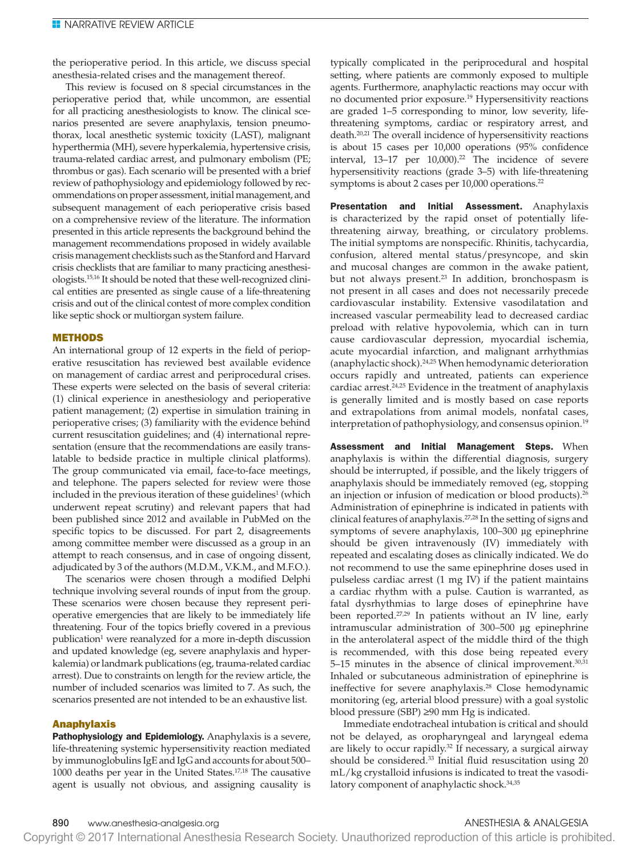the perioperative period. In this article, we discuss special anesthesia-related crises and the management thereof.

This review is focused on 8 special circumstances in the perioperative period that, while uncommon, are essential for all practicing anesthesiologists to know. The clinical scenarios presented are severe anaphylaxis, tension pneumothorax, local anesthetic systemic toxicity (LAST), malignant hyperthermia (MH), severe hyperkalemia, hypertensive crisis, trauma-related cardiac arrest, and pulmonary embolism (PE; thrombus or gas). Each scenario will be presented with a brief review of pathophysiology and epidemiology followed by recommendations on proper assessment, initial management, and subsequent management of each perioperative crisis based on a comprehensive review of the literature. The information presented in this article represents the background behind the management recommendations proposed in widely available crisis management checklists such as the Stanford and Harvard crisis checklists that are familiar to many practicing anesthesiologists.15,16 It should be noted that these well-recognized clinical entities are presented as single cause of a life-threatening crisis and out of the clinical contest of more complex condition like septic shock or multiorgan system failure.

### METHODS

An international group of 12 experts in the field of perioperative resuscitation has reviewed best available evidence on management of cardiac arrest and periprocedural crises. These experts were selected on the basis of several criteria: (1) clinical experience in anesthesiology and perioperative patient management; (2) expertise in simulation training in perioperative crises; (3) familiarity with the evidence behind current resuscitation guidelines; and (4) international representation (ensure that the recommendations are easily translatable to bedside practice in multiple clinical platforms). The group communicated via email, face-to-face meetings, and telephone. The papers selected for review were those included in the previous iteration of these guidelines<sup>1</sup> (which underwent repeat scrutiny) and relevant papers that had been published since 2012 and available in PubMed on the specific topics to be discussed. For part 2, disagreements among committee member were discussed as a group in an attempt to reach consensus, and in case of ongoing dissent, adjudicated by 3 of the authors (M.D.M., V.K.M., and M.F.O.).

The scenarios were chosen through a modified Delphi technique involving several rounds of input from the group. These scenarios were chosen because they represent perioperative emergencies that are likely to be immediately life threatening. Four of the topics briefly covered in a previous publication<sup>1</sup> were reanalyzed for a more in-depth discussion and updated knowledge (eg, severe anaphylaxis and hyperkalemia) or landmark publications (eg, trauma-related cardiac arrest). Due to constraints on length for the review article, the number of included scenarios was limited to 7. As such, the scenarios presented are not intended to be an exhaustive list.

### Anaphylaxis

Pathophysiology and Epidemiology. Anaphylaxis is a severe, life-threatening systemic hypersensitivity reaction mediated by immunoglobulins IgE and IgG and accounts for about 500– 1000 deaths per year in the United States.17,18 The causative agent is usually not obvious, and assigning causality is

typically complicated in the periprocedural and hospital setting, where patients are commonly exposed to multiple agents. Furthermore, anaphylactic reactions may occur with no documented prior exposure.<sup>19</sup> Hypersensitivity reactions are graded 1–5 corresponding to minor, low severity, lifethreatening symptoms, cardiac or respiratory arrest, and death.<sup>20,21</sup> The overall incidence of hypersensitivity reactions is about 15 cases per 10,000 operations (95% confidence interval,  $13-17$  per  $10,000$ .<sup>22</sup> The incidence of severe hypersensitivity reactions (grade 3–5) with life-threatening symptoms is about 2 cases per 10,000 operations.<sup>22</sup>

Presentation and Initial Assessment. Anaphylaxis is characterized by the rapid onset of potentially lifethreatening airway, breathing, or circulatory problems. The initial symptoms are nonspecific. Rhinitis, tachycardia, confusion, altered mental status/presyncope, and skin and mucosal changes are common in the awake patient, but not always present.<sup>23</sup> In addition, bronchospasm is not present in all cases and does not necessarily precede cardiovascular instability. Extensive vasodilatation and increased vascular permeability lead to decreased cardiac preload with relative hypovolemia, which can in turn cause cardiovascular depression, myocardial ischemia, acute myocardial infarction, and malignant arrhythmias (anaphylactic shock).24,25 When hemodynamic deterioration occurs rapidly and untreated, patients can experience cardiac arrest.<sup>24,25</sup> Evidence in the treatment of anaphylaxis is generally limited and is mostly based on case reports and extrapolations from animal models, nonfatal cases, interpretation of pathophysiology, and consensus opinion.<sup>19</sup>

Assessment and Initial Management Steps. When anaphylaxis is within the differential diagnosis, surgery should be interrupted, if possible, and the likely triggers of anaphylaxis should be immediately removed (eg, stopping an injection or infusion of medication or blood products).<sup>26</sup> Administration of epinephrine is indicated in patients with clinical features of anaphylaxis.27,28 In the setting of signs and symptoms of severe anaphylaxis, 100–300 µg epinephrine should be given intravenously (IV) immediately with repeated and escalating doses as clinically indicated. We do not recommend to use the same epinephrine doses used in pulseless cardiac arrest (1 mg IV) if the patient maintains a cardiac rhythm with a pulse. Caution is warranted, as fatal dysrhythmias to large doses of epinephrine have been reported.<sup>27,29</sup> In patients without an IV line, early intramuscular administration of 300–500 µg epinephrine in the anterolateral aspect of the middle third of the thigh is recommended, with this dose being repeated every 5–15 minutes in the absence of clinical improvement.<sup>30,31</sup> Inhaled or subcutaneous administration of epinephrine is ineffective for severe anaphylaxis.<sup>28</sup> Close hemodynamic monitoring (eg, arterial blood pressure) with a goal systolic blood pressure (SBP) ≥90 mm Hg is indicated.

Immediate endotracheal intubation is critical and should not be delayed, as oropharyngeal and laryngeal edema are likely to occur rapidly.<sup>32</sup> If necessary, a surgical airway should be considered.<sup>33</sup> Initial fluid resuscitation using 20 mL/kg crystalloid infusions is indicated to treat the vasodilatory component of anaphylactic shock.<sup>34,35</sup>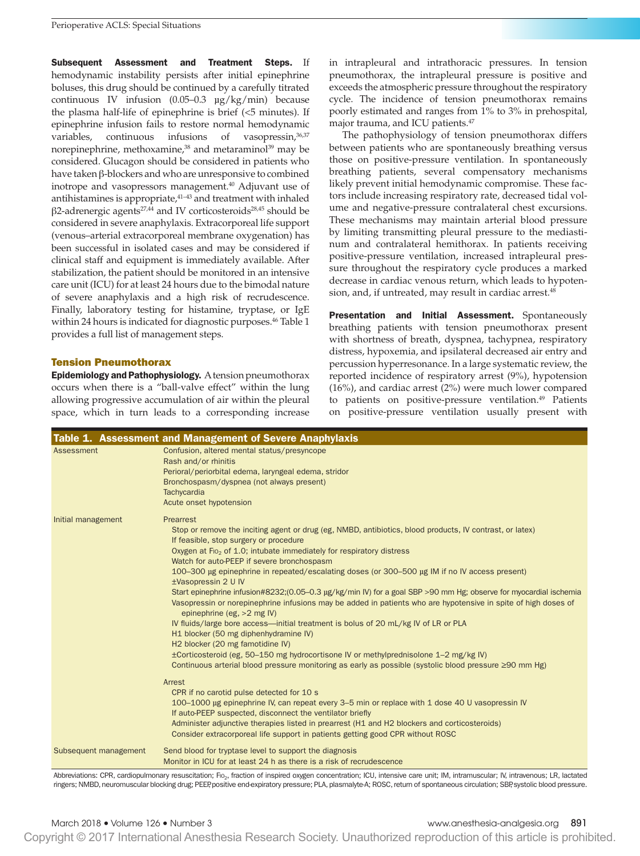Subsequent Assessment and Treatment Steps. If hemodynamic instability persists after initial epinephrine boluses, this drug should be continued by a carefully titrated continuous IV infusion (0.05–0.3 µg/kg/min) because the plasma half-life of epinephrine is brief (<5 minutes). If epinephrine infusion fails to restore normal hemodynamic variables, continuous infusions of vasopressin, 36,37 norepinephrine, methoxamine,<sup>38</sup> and metaraminol<sup>39</sup> may be considered. Glucagon should be considered in patients who have taken β-blockers and who are unresponsive to combined inotrope and vasopressors management.<sup>40</sup> Adjuvant use of antihistamines is appropriate,41–43 and treatment with inhaled β2-adrenergic agents27,44 and IV corticosteroids28,45 should be considered in severe anaphylaxis. Extracorporeal life support (venous–arterial extracorporeal membrane oxygenation) has been successful in isolated cases and may be considered if clinical staff and equipment is immediately available. After stabilization, the patient should be monitored in an intensive care unit (ICU) for at least 24 hours due to the bimodal nature of severe anaphylaxis and a high risk of recrudescence. Finally, laboratory testing for histamine, tryptase, or IgE within 24 hours is indicated for diagnostic purposes.<sup>46</sup> Table 1 provides a full list of management steps.

# Tension Pneumothorax

Epidemiology and Pathophysiology. A tension pneumothorax occurs when there is a "ball-valve effect" within the lung allowing progressive accumulation of air within the pleural space, which in turn leads to a corresponding increase in intrapleural and intrathoracic pressures. In tension pneumothorax, the intrapleural pressure is positive and exceeds the atmospheric pressure throughout the respiratory cycle. The incidence of tension pneumothorax remains poorly estimated and ranges from 1% to 3% in prehospital, major trauma, and ICU patients.<sup>47</sup>

The pathophysiology of tension pneumothorax differs between patients who are spontaneously breathing versus those on positive-pressure ventilation. In spontaneously breathing patients, several compensatory mechanisms likely prevent initial hemodynamic compromise. These factors include increasing respiratory rate, decreased tidal volume and negative-pressure contralateral chest excursions. These mechanisms may maintain arterial blood pressure by limiting transmitting pleural pressure to the mediastinum and contralateral hemithorax. In patients receiving positive-pressure ventilation, increased intrapleural pressure throughout the respiratory cycle produces a marked decrease in cardiac venous return, which leads to hypotension, and, if untreated, may result in cardiac arrest.<sup>48</sup>

Presentation and Initial Assessment. Spontaneously breathing patients with tension pneumothorax present with shortness of breath, dyspnea, tachypnea, respiratory distress, hypoxemia, and ipsilateral decreased air entry and percussion hyperresonance. In a large systematic review, the reported incidence of respiratory arrest (9%), hypotension (16%), and cardiac arrest (2%) were much lower compared to patients on positive-pressure ventilation.<sup>49</sup> Patients on positive-pressure ventilation usually present with

|                       | Table 1. Assessment and Management of Severe Anaphylaxis                                                                                                                                                                                                          |
|-----------------------|-------------------------------------------------------------------------------------------------------------------------------------------------------------------------------------------------------------------------------------------------------------------|
| Assessment            | Confusion, altered mental status/presyncope<br>Rash and/or rhinitis                                                                                                                                                                                               |
|                       | Perioral/periorbital edema, laryngeal edema, stridor                                                                                                                                                                                                              |
|                       | Bronchospasm/dyspnea (not always present)                                                                                                                                                                                                                         |
|                       | Tachycardia                                                                                                                                                                                                                                                       |
|                       | Acute onset hypotension                                                                                                                                                                                                                                           |
| Initial management    | Prearrest                                                                                                                                                                                                                                                         |
|                       | Stop or remove the inciting agent or drug (eg, NMBD, antibiotics, blood products, IV contrast, or latex)<br>If feasible, stop surgery or procedure                                                                                                                |
|                       | Oxygen at F <sub>10</sub> , of 1.0; intubate immediately for respiratory distress                                                                                                                                                                                 |
|                       | Watch for auto-PEEP if severe bronchospasm                                                                                                                                                                                                                        |
|                       | 100–300 μg epinephrine in repeated/escalating doses (or 300–500 μg IM if no IV access present)<br>±Vasopressin 2 U IV                                                                                                                                             |
|                       | Start epinephrine infusion#8232;(0.05-0.3 µg/kg/min IV) for a goal SBP >90 mm Hg; observe for myocardial ischemia<br>Vasopressin or norepinephrine infusions may be added in patients who are hypotensive in spite of high doses of<br>epinephrine (eg, >2 mg IV) |
|                       | IV fluids/large bore access—initial treatment is bolus of 20 mL/kg IV of LR or PLA                                                                                                                                                                                |
|                       | H1 blocker (50 mg diphenhydramine IV)                                                                                                                                                                                                                             |
|                       | H <sub>2</sub> blocker (20 mg famotidine IV)                                                                                                                                                                                                                      |
|                       | ±Corticosteroid (eg, 50–150 mg hydrocortisone IV or methylprednisolone 1–2 mg/kg IV)                                                                                                                                                                              |
|                       | Continuous arterial blood pressure monitoring as early as possible (systolic blood pressure $\geq 90$ mm Hg)                                                                                                                                                      |
|                       | Arrest                                                                                                                                                                                                                                                            |
|                       | CPR if no carotid pulse detected for 10 s                                                                                                                                                                                                                         |
|                       | 100–1000 µg epinephrine IV, can repeat every 3–5 min or replace with 1 dose 40 U vasopressin IV                                                                                                                                                                   |
|                       | If auto-PEEP suspected, disconnect the ventilator briefly                                                                                                                                                                                                         |
|                       | Administer adjunctive therapies listed in prearrest (H1 and H2 blockers and corticosteroids)<br>Consider extracorporeal life support in patients getting good CPR without ROSC                                                                                    |
| Subsequent management | Send blood for tryptase level to support the diagnosis                                                                                                                                                                                                            |
|                       | Monitor in ICU for at least 24 h as there is a risk of recrudescence                                                                                                                                                                                              |

Abbreviations: CPR, cardiopulmonary resuscitation; Fio<sub>2</sub>, fraction of inspired oxygen concentration; ICU, intensive care unit; IM, intramuscular; IV, intravenous; LR, lactated ringers; NMBD, neuromuscular blocking drug; PEEP, positive end-expiratory pressure; PLA, plasmalyte-A; ROSC, return of spontaneous circulation; SBP, systolic blood pressure.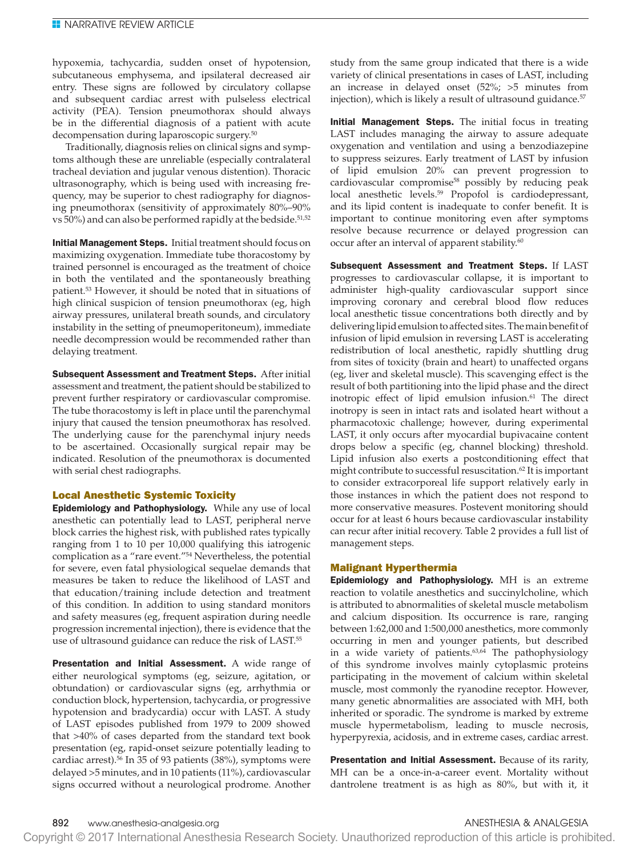hypoxemia, tachycardia, sudden onset of hypotension, subcutaneous emphysema, and ipsilateral decreased air entry. These signs are followed by circulatory collapse and subsequent cardiac arrest with pulseless electrical activity (PEA). Tension pneumothorax should always be in the differential diagnosis of a patient with acute decompensation during laparoscopic surgery.<sup>50</sup>

Traditionally, diagnosis relies on clinical signs and symptoms although these are unreliable (especially contralateral tracheal deviation and jugular venous distention). Thoracic ultrasonography, which is being used with increasing frequency, may be superior to chest radiography for diagnosing pneumothorax (sensitivity of approximately 80%–90% vs  $50\%$ ) and can also be performed rapidly at the bedside.<sup>51,52</sup>

Initial Management Steps. Initial treatment should focus on maximizing oxygenation. Immediate tube thoracostomy by trained personnel is encouraged as the treatment of choice in both the ventilated and the spontaneously breathing patient.53 However, it should be noted that in situations of high clinical suspicion of tension pneumothorax (eg, high airway pressures, unilateral breath sounds, and circulatory instability in the setting of pneumoperitoneum), immediate needle decompression would be recommended rather than delaying treatment.

Subsequent Assessment and Treatment Steps. After initial assessment and treatment, the patient should be stabilized to prevent further respiratory or cardiovascular compromise. The tube thoracostomy is left in place until the parenchymal injury that caused the tension pneumothorax has resolved. The underlying cause for the parenchymal injury needs to be ascertained. Occasionally surgical repair may be indicated. Resolution of the pneumothorax is documented with serial chest radiographs.

# Local Anesthetic Systemic Toxicity

**Epidemiology and Pathophysiology.** While any use of local anesthetic can potentially lead to LAST, peripheral nerve block carries the highest risk, with published rates typically ranging from 1 to 10 per 10,000 qualifying this iatrogenic complication as a "rare event."54 Nevertheless, the potential for severe, even fatal physiological sequelae demands that measures be taken to reduce the likelihood of LAST and that education/training include detection and treatment of this condition. In addition to using standard monitors and safety measures (eg, frequent aspiration during needle progression incremental injection), there is evidence that the use of ultrasound guidance can reduce the risk of LAST.<sup>55</sup>

Presentation and Initial Assessment. A wide range of either neurological symptoms (eg, seizure, agitation, or obtundation) or cardiovascular signs (eg, arrhythmia or conduction block, hypertension, tachycardia, or progressive hypotension and bradycardia) occur with LAST. A study of LAST episodes published from 1979 to 2009 showed that >40% of cases departed from the standard text book presentation (eg, rapid-onset seizure potentially leading to cardiac arrest).56 In 35 of 93 patients (38%), symptoms were delayed >5 minutes, and in 10 patients (11%), cardiovascular signs occurred without a neurological prodrome. Another study from the same group indicated that there is a wide variety of clinical presentations in cases of LAST, including an increase in delayed onset (52%; >5 minutes from injection), which is likely a result of ultrasound guidance.<sup>57</sup>

Initial Management Steps. The initial focus in treating LAST includes managing the airway to assure adequate oxygenation and ventilation and using a benzodiazepine to suppress seizures. Early treatment of LAST by infusion of lipid emulsion 20% can prevent progression to cardiovascular compromise<sup>58</sup> possibly by reducing peak local anesthetic levels.<sup>59</sup> Propofol is cardiodepressant, and its lipid content is inadequate to confer benefit. It is important to continue monitoring even after symptoms resolve because recurrence or delayed progression can occur after an interval of apparent stability.<sup>60</sup>

Subsequent Assessment and Treatment Steps. If LAST progresses to cardiovascular collapse, it is important to administer high-quality cardiovascular support since improving coronary and cerebral blood flow reduces local anesthetic tissue concentrations both directly and by delivering lipid emulsion to affected sites. The main benefit of infusion of lipid emulsion in reversing LAST is accelerating redistribution of local anesthetic, rapidly shuttling drug from sites of toxicity (brain and heart) to unaffected organs (eg, liver and skeletal muscle). This scavenging effect is the result of both partitioning into the lipid phase and the direct inotropic effect of lipid emulsion infusion.<sup>61</sup> The direct inotropy is seen in intact rats and isolated heart without a pharmacotoxic challenge; however, during experimental LAST, it only occurs after myocardial bupivacaine content drops below a specific (eg, channel blocking) threshold. Lipid infusion also exerts a postconditioning effect that might contribute to successful resuscitation.62 It is important to consider extracorporeal life support relatively early in those instances in which the patient does not respond to more conservative measures. Postevent monitoring should occur for at least 6 hours because cardiovascular instability can recur after initial recovery. Table 2 provides a full list of management steps.

# Malignant Hyperthermia

Epidemiology and Pathophysiology. MH is an extreme reaction to volatile anesthetics and succinylcholine, which is attributed to abnormalities of skeletal muscle metabolism and calcium disposition. Its occurrence is rare, ranging between 1:62,000 and 1:500,000 anesthetics, more commonly occurring in men and younger patients, but described in a wide variety of patients.<sup>63,64</sup> The pathophysiology of this syndrome involves mainly cytoplasmic proteins participating in the movement of calcium within skeletal muscle, most commonly the ryanodine receptor. However, many genetic abnormalities are associated with MH, both inherited or sporadic. The syndrome is marked by extreme muscle hypermetabolism, leading to muscle necrosis, hyperpyrexia, acidosis, and in extreme cases, cardiac arrest.

Presentation and Initial Assessment. Because of its rarity, MH can be a once-in-a-career event. Mortality without dantrolene treatment is as high as 80%, but with it, it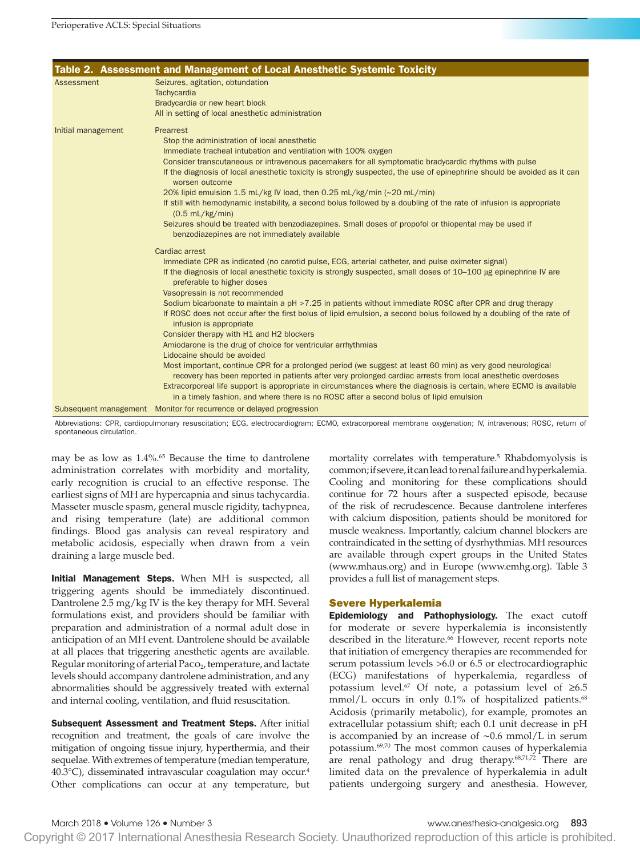|                    | Table 2. Assessment and Management of Local Anesthetic Systemic Toxicity                                                                                                                                                                                                                                                                                                                                                                                                                                                                                                                                                                                                                                                                                                                                                                                                                                                                                                                                                                                                                                                                     |
|--------------------|----------------------------------------------------------------------------------------------------------------------------------------------------------------------------------------------------------------------------------------------------------------------------------------------------------------------------------------------------------------------------------------------------------------------------------------------------------------------------------------------------------------------------------------------------------------------------------------------------------------------------------------------------------------------------------------------------------------------------------------------------------------------------------------------------------------------------------------------------------------------------------------------------------------------------------------------------------------------------------------------------------------------------------------------------------------------------------------------------------------------------------------------|
| <b>Assessment</b>  | Seizures, agitation, obtundation<br>Tachycardia<br>Bradycardia or new heart block<br>All in setting of local anesthetic administration                                                                                                                                                                                                                                                                                                                                                                                                                                                                                                                                                                                                                                                                                                                                                                                                                                                                                                                                                                                                       |
| Initial management | Prearrest<br>Stop the administration of local anesthetic<br>Immediate tracheal intubation and ventilation with 100% oxygen<br>Consider transcutaneous or intravenous pacemakers for all symptomatic bradycardic rhythms with pulse<br>If the diagnosis of local anesthetic toxicity is strongly suspected, the use of epinephrine should be avoided as it can<br>worsen outcome<br>20% lipid emulsion 1.5 mL/kg IV load, then 0.25 mL/kg/min (~20 mL/min)<br>If still with hemodynamic instability, a second bolus followed by a doubling of the rate of infusion is appropriate<br>$(0.5$ mL/kg/min)<br>Seizures should be treated with benzodiazepines. Small doses of propofol or thiopental may be used if<br>benzodiazepines are not immediately available<br>Cardiac arrest                                                                                                                                                                                                                                                                                                                                                            |
|                    | Immediate CPR as indicated (no carotid pulse, ECG, arterial catheter, and pulse oximeter signal)<br>If the diagnosis of local anesthetic toxicity is strongly suspected, small doses of 10–100 µg epinephrine IV are<br>preferable to higher doses<br>Vasopressin is not recommended<br>Sodium bicarbonate to maintain a pH > 7.25 in patients without immediate ROSC after CPR and drug therapy<br>If ROSC does not occur after the first bolus of lipid emulsion, a second bolus followed by a doubling of the rate of<br>infusion is appropriate<br>Consider therapy with H1 and H2 blockers<br>Amiodarone is the drug of choice for ventricular arrhythmias<br>Lidocaine should be avoided<br>Most important, continue CPR for a prolonged period (we suggest at least 60 min) as very good neurological<br>recovery has been reported in patients after very prolonged cardiac arrests from local anesthetic overdoses<br>Extracorporeal life support is appropriate in circumstances where the diagnosis is certain, where ECMO is available<br>in a timely fashion, and where there is no ROSC after a second bolus of lipid emulsion |
|                    | Subsequent management Monitor for recurrence or delayed progression                                                                                                                                                                                                                                                                                                                                                                                                                                                                                                                                                                                                                                                                                                                                                                                                                                                                                                                                                                                                                                                                          |

Abbreviations: CPR, cardiopulmonary resuscitation; ECG, electrocardiogram; ECMO, extracorporeal membrane oxygenation; IV, intravenous; ROSC, return of spontaneous circulation.

may be as low as 1.4%.65 Because the time to dantrolene administration correlates with morbidity and mortality, early recognition is crucial to an effective response. The earliest signs of MH are hypercapnia and sinus tachycardia. Masseter muscle spasm, general muscle rigidity, tachypnea, and rising temperature (late) are additional common findings. Blood gas analysis can reveal respiratory and metabolic acidosis, especially when drawn from a vein draining a large muscle bed.

Initial Management Steps. When MH is suspected, all triggering agents should be immediately discontinued. Dantrolene 2.5 mg/kg IV is the key therapy for MH. Several formulations exist, and providers should be familiar with preparation and administration of a normal adult dose in anticipation of an MH event. Dantrolene should be available at all places that triggering anesthetic agents are available. Regular monitoring of arterial  $Paco<sub>2</sub>$ , temperature, and lactate levels should accompany dantrolene administration, and any abnormalities should be aggressively treated with external and internal cooling, ventilation, and fluid resuscitation.

Subsequent Assessment and Treatment Steps. After initial recognition and treatment, the goals of care involve the mitigation of ongoing tissue injury, hyperthermia, and their sequelae. With extremes of temperature (median temperature, 40.3°C), disseminated intravascular coagulation may occur.4 Other complications can occur at any temperature, but

mortality correlates with temperature.<sup>5</sup> Rhabdomyolysis is common; if severe, it can lead to renal failure and hyperkalemia. Cooling and monitoring for these complications should continue for 72 hours after a suspected episode, because of the risk of recrudescence. Because dantrolene interferes with calcium disposition, patients should be monitored for muscle weakness. Importantly, calcium channel blockers are contraindicated in the setting of dysrhythmias. MH resources are available through expert groups in the United States ([www.mhaus.org\)](www.mhaus.org) and in Europe [\(www.emhg.org\)](www.emhg.org). Table 3 provides a full list of management steps.

# Severe Hyperkalemia

Epidemiology and Pathophysiology. The exact cutoff for moderate or severe hyperkalemia is inconsistently described in the literature.<sup>66</sup> However, recent reports note that initiation of emergency therapies are recommended for serum potassium levels >6.0 or 6.5 or electrocardiographic (ECG) manifestations of hyperkalemia, regardless of potassium level.67 Of note, a potassium level of ≥6.5 mmol/L occurs in only 0.1% of hospitalized patients.<sup>68</sup> Acidosis (primarily metabolic), for example, promotes an extracellular potassium shift; each 0.1 unit decrease in pH is accompanied by an increase of ∼0.6 mmol/L in serum potassium.69,70 The most common causes of hyperkalemia are renal pathology and drug therapy.<sup>68,71,72</sup> There are limited data on the prevalence of hyperkalemia in adult patients undergoing surgery and anesthesia. However,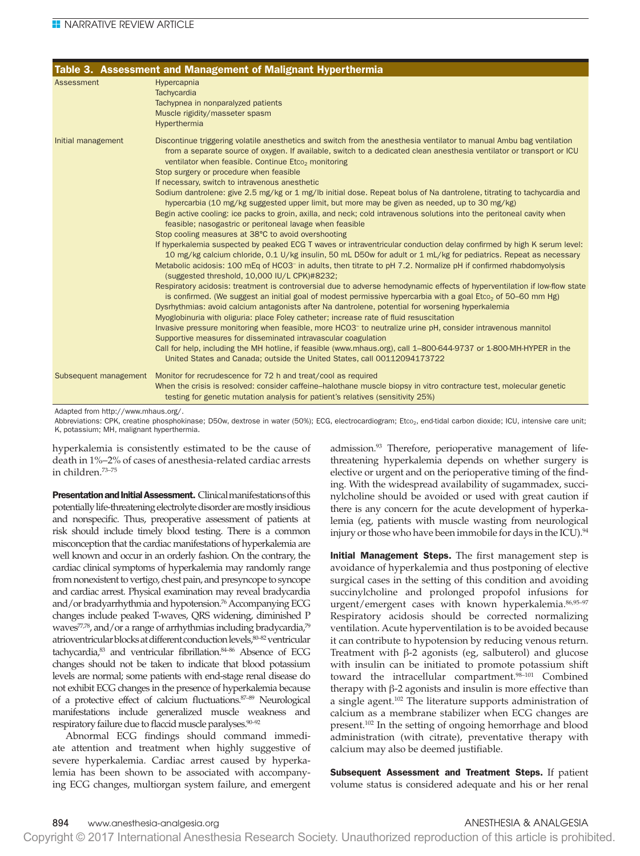|                       | Table 3. Assessment and Management of Malignant Hyperthermia                                                                                                                                                                                                                                                                                                                                                                                                                                                                                                                                                                                                                                                                                                                                                                                                                                                                                                                                                                                                                                                                                                                                                                                                                                                                                                                                                                                                                                                                                                                                                                                                                                                                                                                                                                                                                                                                                                                                                                                                                                                                                                                |
|-----------------------|-----------------------------------------------------------------------------------------------------------------------------------------------------------------------------------------------------------------------------------------------------------------------------------------------------------------------------------------------------------------------------------------------------------------------------------------------------------------------------------------------------------------------------------------------------------------------------------------------------------------------------------------------------------------------------------------------------------------------------------------------------------------------------------------------------------------------------------------------------------------------------------------------------------------------------------------------------------------------------------------------------------------------------------------------------------------------------------------------------------------------------------------------------------------------------------------------------------------------------------------------------------------------------------------------------------------------------------------------------------------------------------------------------------------------------------------------------------------------------------------------------------------------------------------------------------------------------------------------------------------------------------------------------------------------------------------------------------------------------------------------------------------------------------------------------------------------------------------------------------------------------------------------------------------------------------------------------------------------------------------------------------------------------------------------------------------------------------------------------------------------------------------------------------------------------|
| <b>Assessment</b>     | Hypercapnia<br>Tachycardia<br>Tachypnea in nonparalyzed patients<br>Muscle rigidity/masseter spasm<br>Hyperthermia                                                                                                                                                                                                                                                                                                                                                                                                                                                                                                                                                                                                                                                                                                                                                                                                                                                                                                                                                                                                                                                                                                                                                                                                                                                                                                                                                                                                                                                                                                                                                                                                                                                                                                                                                                                                                                                                                                                                                                                                                                                          |
| Initial management    | Discontinue triggering volatile anesthetics and switch from the anesthesia ventilator to manual Ambu bag ventilation<br>from a separate source of oxygen. If available, switch to a dedicated clean anesthesia ventilator or transport or ICU<br>ventilator when feasible. Continue Etco <sub>2</sub> monitoring<br>Stop surgery or procedure when feasible<br>If necessary, switch to intravenous anesthetic<br>Sodium dantrolene: give 2.5 mg/kg or 1 mg/lb initial dose. Repeat bolus of Na dantrolene, titrating to tachycardia and<br>hypercarbia (10 mg/kg suggested upper limit, but more may be given as needed, up to 30 mg/kg)<br>Begin active cooling: ice packs to groin, axilla, and neck; cold intravenous solutions into the peritoneal cavity when<br>feasible; nasogastric or peritoneal lavage when feasible<br>Stop cooling measures at 38°C to avoid overshooting<br>If hyperkalemia suspected by peaked ECG T waves or intraventricular conduction delay confirmed by high K serum level:<br>10 mg/kg calcium chloride, 0.1 U/kg insulin, 50 mL D50w for adult or 1 mL/kg for pediatrics. Repeat as necessary<br>Metabolic acidosis: 100 mEq of HCO3 <sup>-</sup> in adults, then titrate to pH 7.2. Normalize pH if confirmed rhabdomyolysis<br>(suggested threshold, 10,000 IU/L CPK)#8232;<br>Respiratory acidosis: treatment is controversial due to adverse hemodynamic effects of hyperventilation if low-flow state<br>is confirmed. (We suggest an initial goal of modest permissive hypercarbia with a goal Etco <sub>2</sub> of 50–60 mm Hg)<br>Dysrhythmias: avoid calcium antagonists after Na dantrolene, potential for worsening hyperkalemia<br>Myoglobinuria with oliguria: place Foley catheter; increase rate of fluid resuscitation<br>Invasive pressure monitoring when feasible, more HCO3 <sup>-</sup> to neutralize urine pH, consider intravenous mannitol<br>Supportive measures for disseminated intravascular coagulation<br>Call for help, including the MH hotline, if feasible (www.mhaus.org), call 1-800-644-9737 or 1-800-MH-HYPER in the<br>United States and Canada; outside the United States, call 00112094173722 |
| Subsequent management | Monitor for recrudescence for 72 h and treat/cool as required<br>When the crisis is resolved: consider caffeine–halothane muscle biopsy in vitro contracture test, molecular genetic<br>testing for genetic mutation analysis for patient's relatives (sensitivity 25%)                                                                                                                                                                                                                                                                                                                                                                                                                                                                                                                                                                                                                                                                                                                                                                                                                                                                                                                                                                                                                                                                                                                                                                                                                                                                                                                                                                                                                                                                                                                                                                                                                                                                                                                                                                                                                                                                                                     |

Adapted from<http://www.mhaus.org/>.

Abbreviations: CPK, creatine phosphokinase; D50w, dextrose in water (50%); ECG, electrocardiogram; Etco<sub>2</sub>, end-tidal carbon dioxide; ICU, intensive care unit; K, potassium; MH, malignant hyperthermia.

hyperkalemia is consistently estimated to be the cause of death in 1%–2% of cases of anesthesia-related cardiac arrests in children.73–75

**Presentation and Initial Assessment.** Clinical manifestations of this potentially life-threatening electrolyte disorder are mostly insidious and nonspecific. Thus, preoperative assessment of patients at risk should include timely blood testing. There is a common misconception that the cardiac manifestations of hyperkalemia are well known and occur in an orderly fashion. On the contrary, the cardiac clinical symptoms of hyperkalemia may randomly range from nonexistent to vertigo, chest pain, and presyncope to syncope and cardiac arrest. Physical examination may reveal bradycardia and/or bradyarrhythmia and hypotension.<sup>76</sup> Accompanying ECG changes include peaked T-waves, QRS widening, diminished P waves $77,78$ , and/or a range of arrhythmias including bradycardia, $79$ atrioventricular blocks at different conduction levels,80–82 ventricular tachycardia,<sup>83</sup> and ventricular fibrillation.<sup>84-86</sup> Absence of ECG changes should not be taken to indicate that blood potassium levels are normal; some patients with end-stage renal disease do not exhibit ECG changes in the presence of hyperkalemia because of a protective effect of calcium fluctuations.<sup>87-89</sup> Neurological manifestations include generalized muscle weakness and respiratory failure due to flaccid muscle paralyses.90–92

Abnormal ECG findings should command immediate attention and treatment when highly suggestive of severe hyperkalemia. Cardiac arrest caused by hyperkalemia has been shown to be associated with accompanying ECG changes, multiorgan system failure, and emergent admission.<sup>93</sup> Therefore, perioperative management of lifethreatening hyperkalemia depends on whether surgery is elective or urgent and on the perioperative timing of the finding. With the widespread availability of sugammadex, succinylcholine should be avoided or used with great caution if there is any concern for the acute development of hyperkalemia (eg, patients with muscle wasting from neurological injury or those who have been immobile for days in the ICU).<sup>94</sup>

Initial Management Steps. The first management step is avoidance of hyperkalemia and thus postponing of elective surgical cases in the setting of this condition and avoiding succinylcholine and prolonged propofol infusions for urgent/emergent cases with known hyperkalemia. 86,95-97 Respiratory acidosis should be corrected normalizing ventilation. Acute hyperventilation is to be avoided because it can contribute to hypotension by reducing venous return. Treatment with β-2 agonists (eg, salbuterol) and glucose with insulin can be initiated to promote potassium shift toward the intracellular compartment.<sup>98-101</sup> Combined therapy with β-2 agonists and insulin is more effective than a single agent.<sup>102</sup> The literature supports administration of calcium as a membrane stabilizer when ECG changes are present.<sup>102</sup> In the setting of ongoing hemorrhage and blood administration (with citrate), preventative therapy with calcium may also be deemed justifiable.

Subsequent Assessment and Treatment Steps. If patient volume status is considered adequate and his or her renal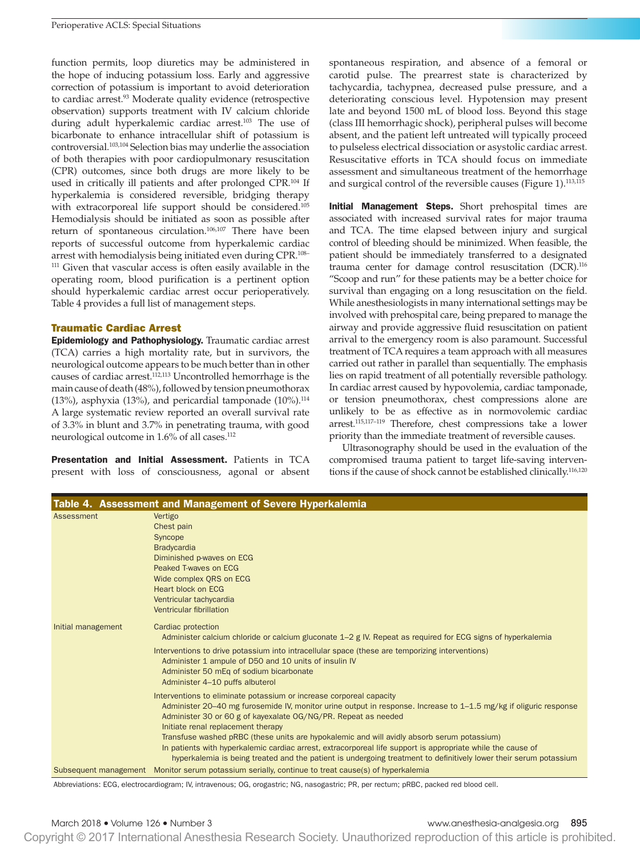function permits, loop diuretics may be administered in the hope of inducing potassium loss. Early and aggressive correction of potassium is important to avoid deterioration to cardiac arrest.<sup>93</sup> Moderate quality evidence (retrospective observation) supports treatment with IV calcium chloride during adult hyperkalemic cardiac arrest.<sup>103</sup> The use of bicarbonate to enhance intracellular shift of potassium is controversial.103,104 Selection bias may underlie the association of both therapies with poor cardiopulmonary resuscitation (CPR) outcomes, since both drugs are more likely to be used in critically ill patients and after prolonged CPR.<sup>104</sup> If hyperkalemia is considered reversible, bridging therapy with extracorporeal life support should be considered.<sup>105</sup> Hemodialysis should be initiated as soon as possible after return of spontaneous circulation.106,107 There have been reports of successful outcome from hyperkalemic cardiac arrest with hemodialysis being initiated even during CPR.108– <sup>111</sup> Given that vascular access is often easily available in the operating room, blood purification is a pertinent option should hyperkalemic cardiac arrest occur perioperatively. Table 4 provides a full list of management steps.

# Traumatic Cardiac Arrest

Epidemiology and Pathophysiology. Traumatic cardiac arrest (TCA) carries a high mortality rate, but in survivors, the neurological outcome appears to be much better than in other causes of cardiac arrest.112,113 Uncontrolled hemorrhage is the main cause of death (48%), followed by tension pneumothorax (13%), asphyxia (13%), and pericardial tamponade  $(10\%)$ .<sup>114</sup> A large systematic review reported an overall survival rate of 3.3% in blunt and 3.7% in penetrating trauma, with good neurological outcome in 1.6% of all cases.112

Presentation and Initial Assessment. Patients in TCA present with loss of consciousness, agonal or absent spontaneous respiration, and absence of a femoral or carotid pulse. The prearrest state is characterized by tachycardia, tachypnea, decreased pulse pressure, and a deteriorating conscious level. Hypotension may present late and beyond 1500 mL of blood loss. Beyond this stage (class III hemorrhagic shock), peripheral pulses will become absent, and the patient left untreated will typically proceed to pulseless electrical dissociation or asystolic cardiac arrest. Resuscitative efforts in TCA should focus on immediate assessment and simultaneous treatment of the hemorrhage and surgical control of the reversible causes (Figure 1).<sup>113,115</sup>

Initial Management Steps. Short prehospital times are associated with increased survival rates for major trauma and TCA. The time elapsed between injury and surgical control of bleeding should be minimized. When feasible, the patient should be immediately transferred to a designated trauma center for damage control resuscitation (DCR).116 "Scoop and run" for these patients may be a better choice for survival than engaging on a long resuscitation on the field. While anesthesiologists in many international settings may be involved with prehospital care, being prepared to manage the airway and provide aggressive fluid resuscitation on patient arrival to the emergency room is also paramount. Successful treatment of TCA requires a team approach with all measures carried out rather in parallel than sequentially. The emphasis lies on rapid treatment of all potentially reversible pathology. In cardiac arrest caused by hypovolemia, cardiac tamponade, or tension pneumothorax, chest compressions alone are unlikely to be as effective as in normovolemic cardiac arrest.115,117–119 Therefore, chest compressions take a lower priority than the immediate treatment of reversible causes.

Ultrasonography should be used in the evaluation of the compromised trauma patient to target life-saving interventions if the cause of shock cannot be established clinically.116,120

| Table 4. Assessment and Management of Severe Hyperkalemia |                                                                                                                                                                                                                                                                                                                                                                                                                                                                                                                                                                                                                                    |  |
|-----------------------------------------------------------|------------------------------------------------------------------------------------------------------------------------------------------------------------------------------------------------------------------------------------------------------------------------------------------------------------------------------------------------------------------------------------------------------------------------------------------------------------------------------------------------------------------------------------------------------------------------------------------------------------------------------------|--|
| Assessment                                                | Vertigo<br>Chest pain<br>Syncope<br><b>Bradycardia</b><br>Diminished p-waves on ECG<br>Peaked T-waves on ECG<br>Wide complex QRS on ECG<br>Heart block on ECG<br>Ventricular tachycardia<br>Ventricular fibrillation                                                                                                                                                                                                                                                                                                                                                                                                               |  |
| Initial management                                        | Cardiac protection<br>Administer calcium chloride or calcium gluconate 1–2 g IV. Repeat as required for ECG signs of hyperkalemia<br>Interventions to drive potassium into intracellular space (these are temporizing interventions)<br>Administer 1 ampule of D50 and 10 units of insulin IV<br>Administer 50 mEq of sodium bicarbonate<br>Administer 4-10 puffs albuterol                                                                                                                                                                                                                                                        |  |
|                                                           | Interventions to eliminate potassium or increase corporeal capacity<br>Administer 20–40 mg furosemide IV, monitor urine output in response. Increase to 1–1.5 mg/kg if oliguric response<br>Administer 30 or 60 g of kayexalate OG/NG/PR. Repeat as needed<br>Initiate renal replacement therapy<br>Transfuse washed pRBC (these units are hypokalemic and will avidly absorb serum potassium)<br>In patients with hyperkalemic cardiac arrest, extracorporeal life support is appropriate while the cause of<br>hyperkalemia is being treated and the patient is undergoing treatment to definitively lower their serum potassium |  |
| Subsequent management                                     | Monitor serum potassium serially, continue to treat cause(s) of hyperkalemia                                                                                                                                                                                                                                                                                                                                                                                                                                                                                                                                                       |  |

Abbreviations: ECG, electrocardiogram; IV, intravenous; OG, orogastric; NG, nasogastric; PR, per rectum; pRBC, packed red blood cell.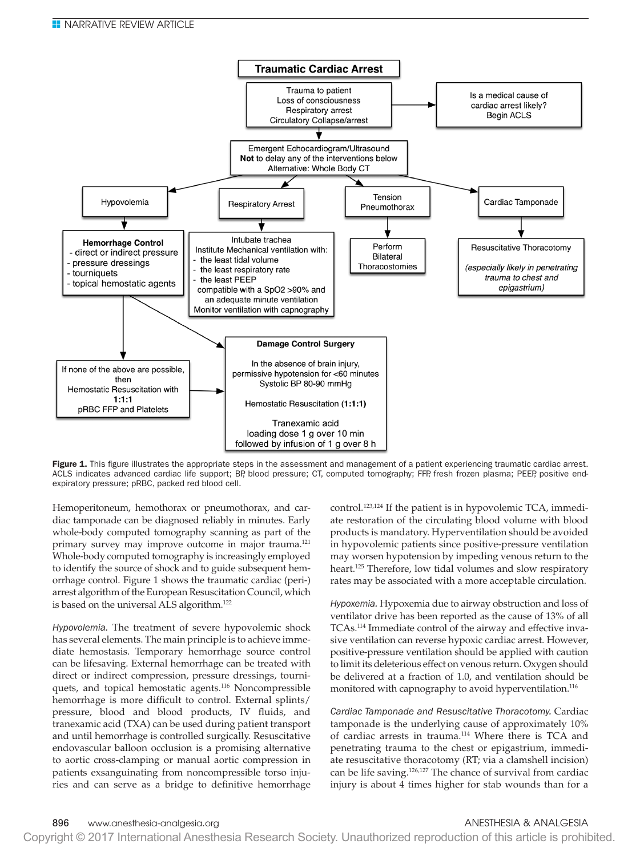

Figure 1. This figure illustrates the appropriate steps in the assessment and management of a patient experiencing traumatic cardiac arrest. ACLS indicates advanced cardiac life support; BP, blood pressure; CT, computed tomography; FFP, fresh frozen plasma; PEEP, positive endexpiratory pressure; pRBC, packed red blood cell.

Hemoperitoneum, hemothorax or pneumothorax, and cardiac tamponade can be diagnosed reliably in minutes. Early whole-body computed tomography scanning as part of the primary survey may improve outcome in major trauma.121 Whole-body computed tomography is increasingly employed to identify the source of shock and to guide subsequent hemorrhage control. Figure 1 shows the traumatic cardiac (peri-) arrest algorithm of the European Resuscitation Council, which is based on the universal ALS algorithm.<sup>122</sup>

*Hypovolemia.* The treatment of severe hypovolemic shock has several elements. The main principle is to achieve immediate hemostasis. Temporary hemorrhage source control can be lifesaving. External hemorrhage can be treated with direct or indirect compression, pressure dressings, tourniquets, and topical hemostatic agents.<sup>116</sup> Noncompressible hemorrhage is more difficult to control. External splints/ pressure, blood and blood products, IV fluids, and tranexamic acid (TXA) can be used during patient transport and until hemorrhage is controlled surgically. Resuscitative endovascular balloon occlusion is a promising alternative to aortic cross-clamping or manual aortic compression in patients exsanguinating from noncompressible torso injuries and can serve as a bridge to definitive hemorrhage

control.<sup>123,124</sup> If the patient is in hypovolemic TCA, immediate restoration of the circulating blood volume with blood products is mandatory. Hyperventilation should be avoided in hypovolemic patients since positive-pressure ventilation may worsen hypotension by impeding venous return to the heart.<sup>125</sup> Therefore, low tidal volumes and slow respiratory rates may be associated with a more acceptable circulation.

*Hypoxemia.* Hypoxemia due to airway obstruction and loss of ventilator drive has been reported as the cause of 13% of all TCAs.114 Immediate control of the airway and effective invasive ventilation can reverse hypoxic cardiac arrest. However, positive-pressure ventilation should be applied with caution to limit its deleterious effect on venous return. Oxygen should be delivered at a fraction of 1.0, and ventilation should be monitored with capnography to avoid hyperventilation.<sup>116</sup>

*Cardiac Tamponade and Resuscitative Thoracotomy.* Cardiac tamponade is the underlying cause of approximately 10% of cardiac arrests in trauma.<sup>114</sup> Where there is TCA and penetrating trauma to the chest or epigastrium, immediate resuscitative thoracotomy (RT; via a clamshell incision) can be life saving.<sup>126,127</sup> The chance of survival from cardiac injury is about 4 times higher for stab wounds than for a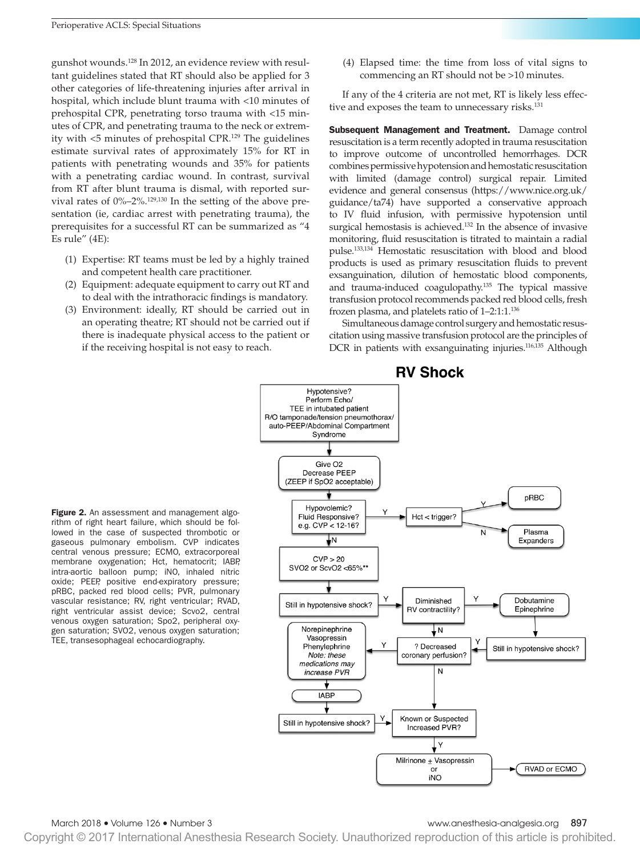gunshot wounds.128 In 2012, an evidence review with resultant guidelines stated that RT should also be applied for 3 other categories of life-threatening injuries after arrival in hospital, which include blunt trauma with <10 minutes of prehospital CPR, penetrating torso trauma with <15 minutes of CPR, and penetrating trauma to the neck or extremity with <5 minutes of prehospital CPR.129 The guidelines estimate survival rates of approximately 15% for RT in patients with penetrating wounds and 35% for patients with a penetrating cardiac wound. In contrast, survival from RT after blunt trauma is dismal, with reported survival rates of 0%–2%.129,130 In the setting of the above presentation (ie, cardiac arrest with penetrating trauma), the prerequisites for a successful RT can be summarized as "4 Es rule" (4E):

- (1) Expertise: RT teams must be led by a highly trained and competent health care practitioner.
- (2) Equipment: adequate equipment to carry out RT and to deal with the intrathoracic findings is mandatory.
- (3) Environment: ideally, RT should be carried out in an operating theatre; RT should not be carried out if there is inadequate physical access to the patient or if the receiving hospital is not easy to reach.

(4) Elapsed time: the time from loss of vital signs to commencing an RT should not be >10 minutes.

If any of the 4 criteria are not met, RT is likely less effective and exposes the team to unnecessary risks.<sup>131</sup>

Subsequent Management and Treatment. Damage control resuscitation is a term recently adopted in trauma resuscitation to improve outcome of uncontrolled hemorrhages. DCR combines permissive hypotension and hemostatic resuscitation with limited (damage control) surgical repair. Limited evidence and general consensus [\(https://www.nice.org.uk/](https://www.nice.org.uk/guidance/ta74) [guidance/ta74](https://www.nice.org.uk/guidance/ta74)) have supported a conservative approach to IV fluid infusion, with permissive hypotension until surgical hemostasis is achieved.132 In the absence of invasive monitoring, fluid resuscitation is titrated to maintain a radial pulse.133,134 Hemostatic resuscitation with blood and blood products is used as primary resuscitation fluids to prevent exsanguination, dilution of hemostatic blood components, and trauma-induced coagulopathy.135 The typical massive transfusion protocol recommends packed red blood cells, fresh frozen plasma, and platelets ratio of 1–2:1:1.136

Simultaneous damage control surgery and hemostatic resuscitation using massive transfusion protocol are the principles of DCR in patients with exsanguinating injuries.<sup>116,135</sup> Although

Figure 2. An assessment and management algorithm of right heart failure, which should be followed in the case of suspected thrombotic or gaseous pulmonary embolism. CVP indicates central venous pressure; ECMO, extracorporeal membrane oxygenation; Hct, hematocrit; IABP, intra-aortic balloon pump; iNO, inhaled nitric oxide; PEEP, positive end-expiratory pressure; pRBC, packed red blood cells; PVR, pulmonary vascular resistance; RV, right ventricular; RVAD, right ventricular assist device; Scvo2, central venous oxygen saturation; Spo2, peripheral oxygen saturation; SVO2, venous oxygen saturation; TEE, transesophageal echocardiography.



March 2018 • Volume 126 • Number 3 www.anesthesia-analgesia.org 897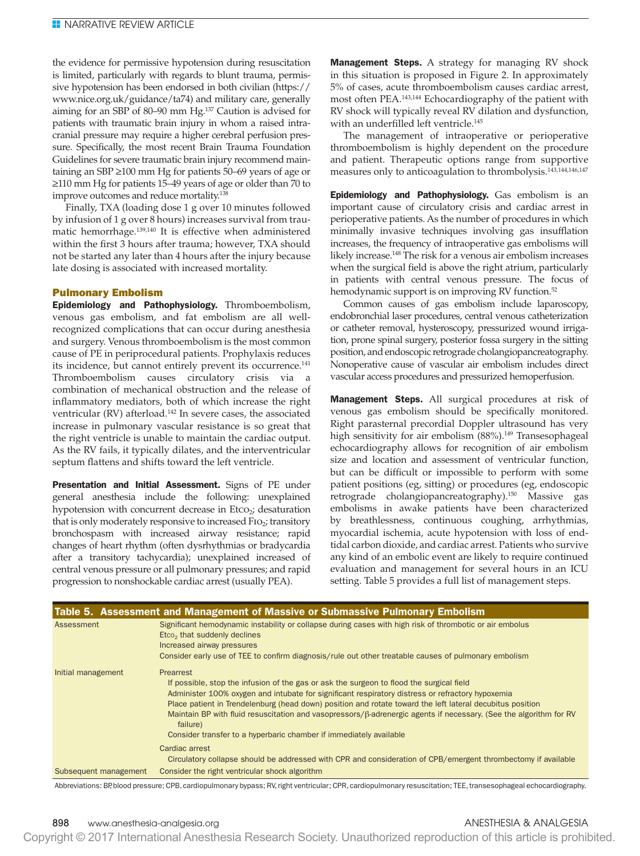the evidence for permissive hypotension during resuscitation is limited, particularly with regards to blunt trauma, permissive hypotension has been endorsed in both civilian [\(https://](https://www.nice.org.uk/guidance/ta74) [www.nice.org.uk/guidance/ta74\)](https://www.nice.org.uk/guidance/ta74) and military care, generally aiming for an SBP of 80–90 mm Hg.137 Caution is advised for patients with traumatic brain injury in whom a raised intracranial pressure may require a higher cerebral perfusion pressure. Specifically, the most recent Brain Trauma Foundation Guidelines for severe traumatic brain injury recommend maintaining an SBP ≥100 mm Hg for patients 50–69 years of age or ≥110 mm Hg for patients 15–49 years of age or older than 70 to improve outcomes and reduce mortality.<sup>138</sup>

Finally, TXA (loading dose 1 g over 10 minutes followed by infusion of 1 g over 8 hours) increases survival from traumatic hemorrhage.139,140 It is effective when administered within the first 3 hours after trauma; however, TXA should not be started any later than 4 hours after the injury because late dosing is associated with increased mortality.

# Pulmonary Embolism

Epidemiology and Pathophysiology. Thromboembolism, venous gas embolism, and fat embolism are all wellrecognized complications that can occur during anesthesia and surgery. Venous thromboembolism is the most common cause of PE in periprocedural patients. Prophylaxis reduces its incidence, but cannot entirely prevent its occurrence.<sup>141</sup> Thromboembolism causes circulatory crisis via a combination of mechanical obstruction and the release of inflammatory mediators, both of which increase the right ventricular (RV) afterload.<sup>142</sup> In severe cases, the associated increase in pulmonary vascular resistance is so great that the right ventricle is unable to maintain the cardiac output. As the RV fails, it typically dilates, and the interventricular septum flattens and shifts toward the left ventricle.

Presentation and Initial Assessment. Signs of PE under general anesthesia include the following: unexplained hypotension with concurrent decrease in  $E_{\text{tco}_2}$ ; desaturation that is only moderately responsive to increased  $FIO<sub>2</sub>$ ; transitory bronchospasm with increased airway resistance; rapid changes of heart rhythm (often dysrhythmias or bradycardia after a transitory tachycardia); unexplained increased of central venous pressure or all pulmonary pressures; and rapid progression to nonshockable cardiac arrest (usually PEA).

**Management Steps.** A strategy for managing RV shock in this situation is proposed in Figure 2. In approximately 5% of cases, acute thromboembolism causes cardiac arrest, most often PEA.143,144 Echocardiography of the patient with RV shock will typically reveal RV dilation and dysfunction, with an underfilled left ventricle.<sup>145</sup>

The management of intraoperative or perioperative thromboembolism is highly dependent on the procedure and patient. Therapeutic options range from supportive measures only to anticoagulation to thrombolysis.143,144,146,147

Epidemiology and Pathophysiology. Gas embolism is an important cause of circulatory crisis and cardiac arrest in perioperative patients. As the number of procedures in which minimally invasive techniques involving gas insufflation increases, the frequency of intraoperative gas embolisms will likely increase.<sup>148</sup> The risk for a venous air embolism increases when the surgical field is above the right atrium, particularly in patients with central venous pressure. The focus of hemodynamic support is on improving RV function.<sup>52</sup>

Common causes of gas embolism include laparoscopy, endobronchial laser procedures, central venous catheterization or catheter removal, hysteroscopy, pressurized wound irrigation, prone spinal surgery, posterior fossa surgery in the sitting position, and endoscopic retrograde cholangiopancreatography. Nonoperative cause of vascular air embolism includes direct vascular access procedures and pressurized hemoperfusion.

Management Steps. All surgical procedures at risk of venous gas embolism should be specifically monitored. Right parasternal precordial Doppler ultrasound has very high sensitivity for air embolism (88%).<sup>149</sup> Transesophageal echocardiography allows for recognition of air embolism size and location and assessment of ventricular function, but can be difficult or impossible to perform with some patient positions (eg, sitting) or procedures (eg, endoscopic retrograde cholangiopancreatography).150 Massive gas embolisms in awake patients have been characterized by breathlessness, continuous coughing, arrhythmias, myocardial ischemia, acute hypotension with loss of endtidal carbon dioxide, and cardiac arrest. Patients who survive any kind of an embolic event are likely to require continued evaluation and management for several hours in an ICU setting. Table 5 provides a full list of management steps.

|                       | Table 5. Assessment and Management of Massive or Submassive Pulmonary Embolism                                                        |
|-----------------------|---------------------------------------------------------------------------------------------------------------------------------------|
| Assessment            | Significant hemodynamic instability or collapse during cases with high risk of thrombotic or air embolus                              |
|                       | Etco <sub>2</sub> that suddenly declines                                                                                              |
|                       | Increased airway pressures                                                                                                            |
|                       | Consider early use of TEE to confirm diagnosis/rule out other treatable causes of pulmonary embolism                                  |
| Initial management    | Prearrest                                                                                                                             |
|                       | If possible, stop the infusion of the gas or ask the surgeon to flood the surgical field                                              |
|                       | Administer 100% oxygen and intubate for significant respiratory distress or refractory hypoxemia                                      |
|                       | Place patient in Trendelenburg (head down) position and rotate toward the left lateral decubitus position                             |
|                       | Maintain BP with fluid resuscitation and vasopressors/ $\beta$ -adrenergic agents if necessary. (See the algorithm for RV<br>failure) |
|                       | Consider transfer to a hyperbaric chamber if immediately available                                                                    |
|                       | Cardiac arrest                                                                                                                        |
|                       | Circulatory collapse should be addressed with CPR and consideration of CPB/emergent thrombectomy if available                         |
| Subsequent management | Consider the right ventricular shock algorithm                                                                                        |

Abbreviations: BP, blood pressure; CPB, cardiopulmonary bypass; RV, right ventricular; CPR, cardiopulmonary resuscitation; TEE, transesophageal echocardiography.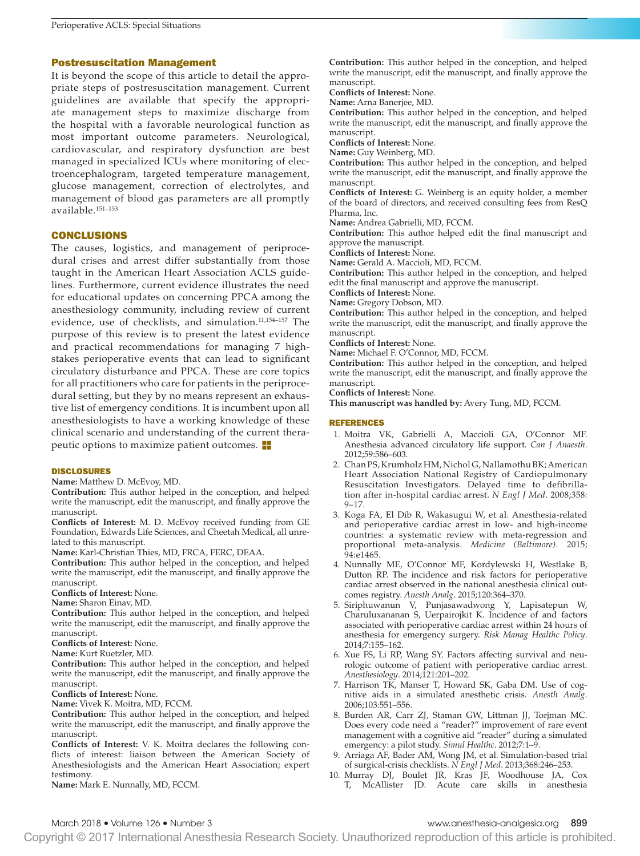# Postresuscitation Management

It is beyond the scope of this article to detail the appropriate steps of postresuscitation management. Current guidelines are available that specify the appropriate management steps to maximize discharge from the hospital with a favorable neurological function as most important outcome parameters. Neurological, cardiovascular, and respiratory dysfunction are best managed in specialized ICUs where monitoring of electroencephalogram, targeted temperature management, glucose management, correction of electrolytes, and management of blood gas parameters are all promptly available.151–153

# CONCLUSIONS

The causes, logistics, and management of periprocedural crises and arrest differ substantially from those taught in the American Heart Association ACLS guidelines. Furthermore, current evidence illustrates the need for educational updates on concerning PPCA among the anesthesiology community, including review of current evidence, use of checklists, and simulation.11,154–157 The purpose of this review is to present the latest evidence and practical recommendations for managing 7 highstakes perioperative events that can lead to significant circulatory disturbance and PPCA. These are core topics for all practitioners who care for patients in the periprocedural setting, but they by no means represent an exhaustive list of emergency conditions. It is incumbent upon all anesthesiologists to have a working knowledge of these clinical scenario and understanding of the current therapeutic options to maximize patient outcomes.  $\blacksquare$ 

### DISCLOSURES

**Name:** Matthew D. McEvoy, MD.

**Contribution:** This author helped in the conception, and helped write the manuscript, edit the manuscript, and finally approve the manuscript.

**Conflicts of Interest:** M. D. McEvoy received funding from GE Foundation, Edwards Life Sciences, and Cheetah Medical, all unrelated to this manuscript.

**Name:** Karl-Christian Thies, MD, FRCA, FERC, DEAA.

**Contribution:** This author helped in the conception, and helped write the manuscript, edit the manuscript, and finally approve the manuscript.

**Conflicts of Interest:** None.

**Name:** Sharon Einav, MD.

**Contribution:** This author helped in the conception, and helped write the manuscript, edit the manuscript, and finally approve the manuscript.

**Conflicts of Interest:** None.

**Name:** Kurt Ruetzler, MD.

**Contribution:** This author helped in the conception, and helped write the manuscript, edit the manuscript, and finally approve the manuscript.

**Conflicts of Interest:** None.

**Name:** Vivek K. Moitra, MD, FCCM.

**Contribution:** This author helped in the conception, and helped write the manuscript, edit the manuscript, and finally approve the manuscript.

**Conflicts of Interest:** V. K. Moitra declares the following conflicts of interest: liaison between the American Society of Anesthesiologists and the American Heart Association; expert testimony.

**Name:** Mark E. Nunnally, MD, FCCM.

**Contribution:** This author helped in the conception, and helped write the manuscript, edit the manuscript, and finally approve the manuscript.

**Conflicts of Interest:** None.

**Name:** Arna Banerjee, MD.

**Contribution:** This author helped in the conception, and helped write the manuscript, edit the manuscript, and finally approve the manuscript.

**Conflicts of Interest:** None.

**Name:** Guy Weinberg, MD.

**Contribution:** This author helped in the conception, and helped write the manuscript, edit the manuscript, and finally approve the manuscript.

**Conflicts of Interest:** G. Weinberg is an equity holder, a member of the board of directors, and received consulting fees from ResQ Pharma, Inc.

**Name:** Andrea Gabrielli, MD, FCCM.

**Contribution:** This author helped edit the final manuscript and approve the manuscript.

**Conflicts of Interest:** None.

**Name:** Gerald A. Maccioli, MD, FCCM.

**Contribution:** This author helped in the conception, and helped edit the final manuscript and approve the manuscript.

**Conflicts of Interest:** None.

**Name:** Gregory Dobson, MD.

**Contribution:** This author helped in the conception, and helped write the manuscript, edit the manuscript, and finally approve the manuscript.

**Conflicts of Interest:** None.

**Name:** Michael F. O'Connor, MD, FCCM.

**Contribution:** This author helped in the conception, and helped write the manuscript, edit the manuscript, and finally approve the manuscript.

**Conflicts of Interest:** None. **This manuscript was handled by:** Avery Tung, MD, FCCM.

### REFERENCES

- 1. Moitra VK, Gabrielli A, Maccioli GA, O'Connor MF. Anesthesia advanced circulatory life support. *Can J Anaesth*. 2012;59:586–603.
- 2. Chan PS, Krumholz HM, Nichol G, Nallamothu BK; American Heart Association National Registry of Cardiopulmonary Resuscitation Investigators. Delayed time to defibrillation after in-hospital cardiac arrest. *N Engl J Med*. 2008;358: 9–17.
- 3. Koga FA, El Dib R, Wakasugui W, et al. Anesthesia-related and perioperative cardiac arrest in low- and high-income countries: a systematic review with meta-regression and proportional meta-analysis. *Medicine (Baltimore)*. 2015; 94:e1465.
- 4. Nunnally ME, O'Connor MF, Kordylewski H, Westlake B, Dutton RP. The incidence and risk factors for perioperative cardiac arrest observed in the national anesthesia clinical outcomes registry. *Anesth Analg*. 2015;120:364–370.
- 5. Siriphuwanun V, Punjasawadwong Y, Lapisatepun W, Charuluxananan S, Uerpairojkit K. Incidence of and factors associated with perioperative cardiac arrest within 24 hours of anesthesia for emergency surgery. *Risk Manag Healthc Policy*. 2014;7:155–162.
- 6. Xue FS, Li RP, Wang SY. Factors affecting survival and neurologic outcome of patient with perioperative cardiac arrest. *Anesthesiology*. 2014;121:201–202.
- 7. Harrison TK, Manser T, Howard SK, Gaba DM. Use of cognitive aids in a simulated anesthetic crisis. *Anesth Analg*. 2006;103:551–556.
- 8. Burden AR, Carr ZJ, Staman GW, Littman JJ, Torjman MC. Does every code need a "reader?" improvement of rare event management with a cognitive aid "reader" during a simulated emergency: a pilot study. *Simul Healthc*. 2012;7:1–9.
- 9. Arriaga AF, Bader AM, Wong JM, et al. Simulation-based trial of surgical-crisis checklists. *N Engl J Med*. 2013;368:246–253.
- 10. Murray DJ, Boulet JR, Kras JF, Woodhouse JA, Cox T, McAllister JD. Acute care skills in anesthesia

March 2018 • Volume 126 • Number 3 www.anesthesia-analgesia.org 899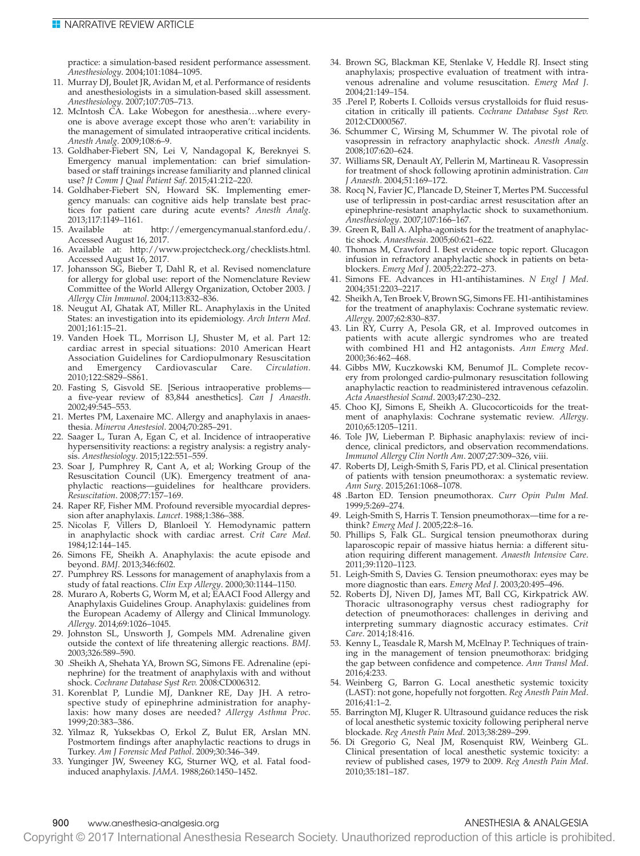practice: a simulation-based resident performance assessment. *Anesthesiology*. 2004;101:1084–1095.

- 11. Murray DJ, Boulet JR, Avidan M, et al. Performance of residents and anesthesiologists in a simulation-based skill assessment. *Anesthesiology*. 2007;107:705–713.
- 12. McIntosh CA. Lake Wobegon for anesthesia…where everyone is above average except those who aren't: variability in the management of simulated intraoperative critical incidents. *Anesth Analg*. 2009;108:6–9.
- 13. Goldhaber-Fiebert SN, Lei V, Nandagopal K, Bereknyei S. Emergency manual implementation: can brief simulationbased or staff trainings increase familiarity and planned clinical use? *Jt Comm J Qual Patient Saf*. 2015;41:212–220.
- 14. Goldhaber-Fiebert SN, Howard SK. Implementing emergency manuals: can cognitive aids help translate best practices for patient care during acute events? *Anesth Analg*. 2013;117:1149–1161.
- 15. Available at: <http://emergencymanual.stanford.edu/>. Accessed August 16, 2017.
- 16. Available at: <http://www.projectcheck.org/checklists.html>. Accessed August 16, 2017.
- 17. Johansson SG, Bieber T, Dahl R, et al. Revised nomenclature for allergy for global use: report of the Nomenclature Review Committee of the World Allergy Organization, October 2003. *J Allergy Clin Immunol*. 2004;113:832–836.
- 18. Neugut AI, Ghatak AT, Miller RL. Anaphylaxis in the United States: an investigation into its epidemiology. *Arch Intern Med*. 2001;161:15–21.
- 19. Vanden Hoek TL, Morrison LJ, Shuster M, et al. Part 12: cardiac arrest in special situations: 2010 American Heart Association Guidelines for Cardiopulmonary Resuscitation and Emergency Cardiovascular Care. *Circulation*. 2010;122:S829–S861.
- 20. Fasting S, Gisvold SE. [Serious intraoperative problems a five-year review of 83,844 anesthetics]. *Can J Anaesth*. 2002;49:545–553.
- 21. Mertes PM, Laxenaire MC. Allergy and anaphylaxis in anaesthesia. *Minerva Anestesiol*. 2004;70:285–291.
- 22. Saager L, Turan A, Egan C, et al. Incidence of intraoperative hypersensitivity reactions: a registry analysis: a registry analysis. *Anesthesiology*. 2015;122:551–559.
- 23. Soar J, Pumphrey R, Cant A, et al; Working Group of the Resuscitation Council (UK). Emergency treatment of anaphylactic reactions—guidelines for healthcare providers. *Resuscitation*. 2008;77:157–169.
- 24. Raper RF, Fisher MM. Profound reversible myocardial depression after anaphylaxis. *Lancet*. 1988;1:386–388.
- 25. Nicolas F, Villers D, Blanloeil Y. Hemodynamic pattern in anaphylactic shock with cardiac arrest. *Crit Care Med*. 1984;12:144–145.
- 26. Simons FE, Sheikh A. Anaphylaxis: the acute episode and beyond. *BMJ*. 2013;346:f602.
- 27. Pumphrey RS. Lessons for management of anaphylaxis from a study of fatal reactions. *Clin Exp Allergy*. 2000;30:1144–1150.
- 28. Muraro A, Roberts G, Worm M, et al; EAACI Food Allergy and Anaphylaxis Guidelines Group. Anaphylaxis: guidelines from the European Academy of Allergy and Clinical Immunology. *Allergy*. 2014;69:1026–1045.
- 29. Johnston SL, Unsworth J, Gompels MM. Adrenaline given outside the context of life threatening allergic reactions. *BMJ*. 2003;326:589–590.
- 30 .Sheikh A, Shehata YA, Brown SG, Simons FE. Adrenaline (epinephrine) for the treatment of anaphylaxis with and without shock. *Cochrane Database Syst Rev.* 2008:CD006312.
- 31. Korenblat P, Lundie MJ, Dankner RE, Day JH. A retrospective study of epinephrine administration for anaphylaxis: how many doses are needed? *Allergy Asthma Proc*. 1999;20:383–386.
- 32. Yilmaz R, Yuksekbas O, Erkol Z, Bulut ER, Arslan MN. Postmortem findings after anaphylactic reactions to drugs in Turkey. *Am J Forensic Med Pathol*. 2009;30:346–349.
- 33. Yunginger JW, Sweeney KG, Sturner WQ, et al. Fatal foodinduced anaphylaxis. *JAMA*. 1988;260:1450–1452.
- 34. Brown SG, Blackman KE, Stenlake V, Heddle RJ. Insect sting anaphylaxis; prospective evaluation of treatment with intravenous adrenaline and volume resuscitation. *Emerg Med J*. 2004;21:149–154.
- 35 .Perel P, Roberts I. Colloids versus crystalloids for fluid resuscitation in critically ill patients. *Cochrane Database Syst Rev.* 2012:CD000567.
- 36. Schummer C, Wirsing M, Schummer W. The pivotal role of vasopressin in refractory anaphylactic shock. *Anesth Analg*. 2008;107:620–624.
- 37. Williams SR, Denault AY, Pellerin M, Martineau R. Vasopressin for treatment of shock following aprotinin administration. *Can J Anaesth*. 2004;51:169–172.
- 38. Rocq N, Favier JC, Plancade D, Steiner T, Mertes PM. Successful use of terlipressin in post-cardiac arrest resuscitation after an epinephrine-resistant anaphylactic shock to suxamethonium. *Anesthesiology*. 2007;107:166–167.
- 39. Green R, Ball A. Alpha-agonists for the treatment of anaphylactic shock. *Anaesthesia*. 2005;60:621–622.
- 40. Thomas M, Crawford I. Best evidence topic report. Glucagon infusion in refractory anaphylactic shock in patients on betablockers. *Emerg Med J*. 2005;22:272–273.
- 41. Simons FE. Advances in H1-antihistamines. *N Engl J Med*. 2004;351:2203–2217.
- 42. Sheikh A, Ten Broek V, Brown SG, Simons FE. H1-antihistamines for the treatment of anaphylaxis: Cochrane systematic review. *Allergy*. 2007;62:830–837.
- 43. Lin RY, Curry A, Pesola GR, et al. Improved outcomes in patients with acute allergic syndromes who are treated with combined H1 and H2 antagonists. *Ann Emerg Med*. 2000;36:462–468.
- 44. Gibbs MW, Kuczkowski KM, Benumof JL. Complete recovery from prolonged cardio-pulmonary resuscitation following anaphylactic reaction to readministered intravenous cefazolin. *Acta Anaesthesiol Scand*. 2003;47:230–232.
- 45. Choo KJ, Simons E, Sheikh A. Glucocorticoids for the treatment of anaphylaxis: Cochrane systematic review. *Allergy*. 2010;65:1205–1211.
- 46. Tole JW, Lieberman P. Biphasic anaphylaxis: review of incidence, clinical predictors, and observation recommendations. *Immunol Allergy Clin North Am*. 2007;27:309–326, viii.
- 47. Roberts DJ, Leigh-Smith S, Faris PD, et al. Clinical presentation of patients with tension pneumothorax: a systematic review. *Ann Surg*. 2015;261:1068–1078.
- 48 .Barton ED. Tension pneumothorax. *Curr Opin Pulm Med.* 1999;5:269–274.
- 49. Leigh-Smith S, Harris T. Tension pneumothorax—time for a rethink? *Emerg Med J*. 2005;22:8–16.
- 50. Phillips S, Falk GL. Surgical tension pneumothorax during laparoscopic repair of massive hiatus hernia: a different situation requiring different management. *Anaesth Intensive Care*. 2011;39:1120–1123.
- 51. Leigh-Smith S, Davies G. Tension pneumothorax: eyes may be more diagnostic than ears. *Emerg Med J*. 2003;20:495–496.
- 52. Roberts DJ, Niven DJ, James MT, Ball CG, Kirkpatrick AW. Thoracic ultrasonography versus chest radiography for detection of pneumothoraces: challenges in deriving and interpreting summary diagnostic accuracy estimates. *Crit Care*. 2014;18:416.
- 53. Kenny L, Teasdale R, Marsh M, McElnay P. Techniques of training in the management of tension pneumothorax: bridging the gap between confidence and competence. *Ann Transl Med*. 2016;4:233.
- 54. Weinberg G, Barron G. Local anesthetic systemic toxicity (LAST): not gone, hopefully not forgotten. *Reg Anesth Pain Med*. 2016;41:1–2.
- 55. Barrington MJ, Kluger R. Ultrasound guidance reduces the risk of local anesthetic systemic toxicity following peripheral nerve blockade. *Reg Anesth Pain Med*. 2013;38:289–299.
- 56. Di Gregorio G, Neal JM, Rosenquist RW, Weinberg GL. Clinical presentation of local anesthetic systemic toxicity: a review of published cases, 1979 to 2009. *Reg Anesth Pain Med*. 2010;35:181–187.

# 900 www.anesthesia-analgesia.org ANESTHESIA & ANALGESIA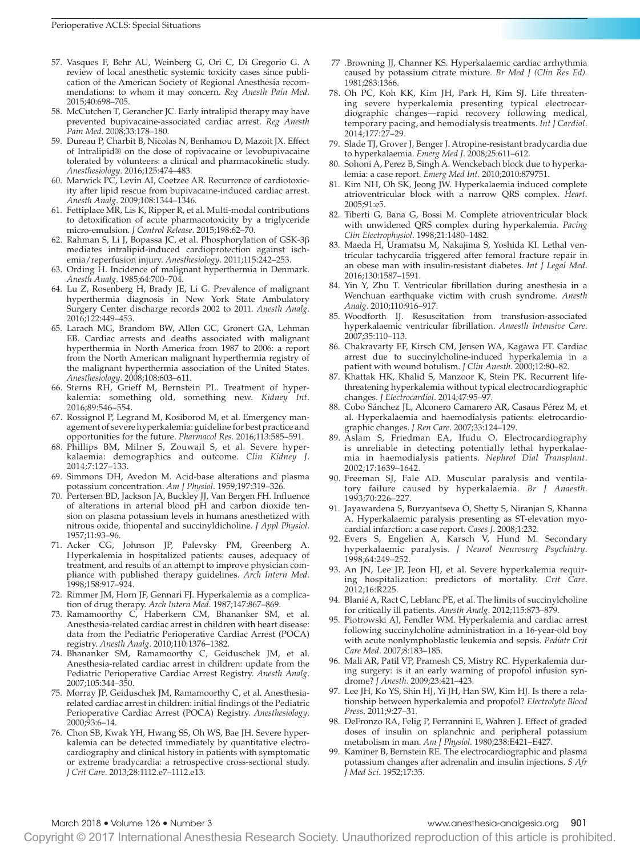- 57. Vasques F, Behr AU, Weinberg G, Ori C, Di Gregorio G. A review of local anesthetic systemic toxicity cases since publication of the American Society of Regional Anesthesia recommendations: to whom it may concern. *Reg Anesth Pain Med*. 2015;40:698–705.
- 58. McCutchen T, Gerancher JC. Early intralipid therapy may have prevented bupivacaine-associated cardiac arrest. *Reg Anesth Pain Med*. 2008;33:178–180.
- 59. Dureau P, Charbit B, Nicolas N, Benhamou D, Mazoit JX. Effect of Intralipid® on the dose of ropivacaine or levobupivacaine tolerated by volunteers: a clinical and pharmacokinetic study. *Anesthesiology*. 2016;125:474–483.
- 60. Marwick PC, Levin AI, Coetzee AR. Recurrence of cardiotoxicity after lipid rescue from bupivacaine-induced cardiac arrest. *Anesth Analg*. 2009;108:1344–1346.
- 61. Fettiplace MR, Lis K, Ripper R, et al. Multi-modal contributions to detoxification of acute pharmacotoxicity by a triglyceride micro-emulsion. *J Control Release*. 2015;198:62–70.
- 62. Rahman S, Li J, Bopassa JC, et al. Phosphorylation of GSK-3β mediates intralipid-induced cardioprotection against ischemia/reperfusion injury. *Anesthesiology*. 2011;115:242–253.
- 63. Ording H. Incidence of malignant hyperthermia in Denmark. *Anesth Analg*. 1985;64:700–704.
- 64. Lu Z, Rosenberg H, Brady JE, Li G. Prevalence of malignant hyperthermia diagnosis in New York State Ambulatory Surgery Center discharge records 2002 to 2011. *Anesth Analg*. 2016;122:449–453.
- 65. Larach MG, Brandom BW, Allen GC, Gronert GA, Lehman EB. Cardiac arrests and deaths associated with malignant hyperthermia in North America from 1987 to 2006: a report from the North American malignant hyperthermia registry of the malignant hyperthermia association of the United States. *Anesthesiology*. 2008;108:603–611.
- 66. Sterns RH, Grieff M, Bernstein PL. Treatment of hyperkalemia: something old, something new. *Kidney Int*. 2016;89:546–554.
- 67. Rossignol P, Legrand M, Kosiborod M, et al. Emergency management of severe hyperkalemia: guideline for best practice and opportunities for the future. *Pharmacol Res*. 2016;113:585–591.
- 68. Phillips BM, Milner S, Zouwail S, et al. Severe hyperkalaemia: demographics and outcome. *Clin Kidney J*. 2014;7:127–133.
- 69. Simmons DH, Avedon M. Acid-base alterations and plasma potassium concentration. *Am J Physiol*. 1959;197:319–326.
- 70. Pertersen BD, Jackson JA, Buckley JJ, Van Bergen FH. Influence of alterations in arterial blood pH and carbon dioxide tension on plasma potassium levels in humans anesthetized with nitrous oxide, thiopental and succinyldicholine. *J Appl Physiol*. 1957;11:93–96.
- 71. Acker CG, Johnson JP, Palevsky PM, Greenberg A. Hyperkalemia in hospitalized patients: causes, adequacy of treatment, and results of an attempt to improve physician compliance with published therapy guidelines. *Arch Intern Med*. 1998;158:917–924.
- 72. Rimmer JM, Horn JF, Gennari FJ. Hyperkalemia as a complication of drug therapy. *Arch Intern Med*. 1987;147:867–869.
- 73. Ramamoorthy C, Haberkern CM, Bhananker SM, et al. Anesthesia-related cardiac arrest in children with heart disease: data from the Pediatric Perioperative Cardiac Arrest (POCA) registry. *Anesth Analg*. 2010;110:1376–1382.
- 74. Bhananker SM, Ramamoorthy C, Geiduschek JM, et al. Anesthesia-related cardiac arrest in children: update from the Pediatric Perioperative Cardiac Arrest Registry. *Anesth Analg*. 2007;105:344–350.
- 75. Morray JP, Geiduschek JM, Ramamoorthy C, et al. Anesthesiarelated cardiac arrest in children: initial findings of the Pediatric Perioperative Cardiac Arrest (POCA) Registry. *Anesthesiology*. 2000;93:6–14.
- 76. Chon SB, Kwak YH, Hwang SS, Oh WS, Bae JH. Severe hyperkalemia can be detected immediately by quantitative electrocardiography and clinical history in patients with symptomatic or extreme bradycardia: a retrospective cross-sectional study. *J Crit Care*. 2013;28:1112.e7–1112.e13.
- 77 .Browning JJ, Channer KS. Hyperkalaemic cardiac arrhythmia caused by potassium citrate mixture. *Br Med J (Clin Res Ed).* 1981;283:1366.
- 78. Oh PC, Koh KK, Kim JH, Park H, Kim SJ. Life threatening severe hyperkalemia presenting typical electrocardiographic changes—rapid recovery following medical, temporary pacing, and hemodialysis treatments. *Int J Cardiol*. 2014;177:27–29.
- 79. Slade TJ, Grover J, Benger J. Atropine-resistant bradycardia due to hyperkalaemia. *Emerg Med J*. 2008;25:611–612.
- 80. Sohoni A, Perez B, Singh A. Wenckebach block due to hyperkalemia: a case report. *Emerg Med Int*. 2010;2010:879751.
- 81. Kim NH, Oh SK, Jeong JW. Hyperkalaemia induced complete atrioventricular block with a narrow QRS complex. *Heart*. 2005;91:e5.
- 82. Tiberti G, Bana G, Bossi M. Complete atrioventricular block with unwidened QRS complex during hyperkalemia. *Pacing Clin Electrophysiol*. 1998;21:1480–1482.
- 83. Maeda H, Uramatsu M, Nakajima S, Yoshida KI. Lethal ventricular tachycardia triggered after femoral fracture repair in an obese man with insulin-resistant diabetes. *Int J Legal Med*. 2016;130:1587–1591.
- 84. Yin Y, Zhu T. Ventricular fibrillation during anesthesia in a Wenchuan earthquake victim with crush syndrome. *Anesth Analg*. 2010;110:916–917.
- 85. Woodforth IJ. Resuscitation from transfusion-associated hyperkalaemic ventricular fibrillation. *Anaesth Intensive Care*. 2007;35:110–113.
- 86. Chakravarty EF, Kirsch CM, Jensen WA, Kagawa FT. Cardiac arrest due to succinylcholine-induced hyperkalemia in a patient with wound botulism. *J Clin Anesth*. 2000;12:80–82.
- 87. Khattak HK, Khalid S, Manzoor K, Stein PK. Recurrent lifethreatening hyperkalemia without typical electrocardiographic changes. *J Electrocardiol*. 2014;47:95–97.
- 88. Cobo Sánchez JL, Alconero Camarero AR, Casaus Pérez M, et al. Hyperkalaemia and haemodialysis patients: eletrocardiographic changes. *J Ren Care*. 2007;33:124–129.
- 89. Aslam S, Friedman EA, Ifudu O. Electrocardiography is unreliable in detecting potentially lethal hyperkalaemia in haemodialysis patients. *Nephrol Dial Transplant*. 2002;17:1639–1642.
- 90. Freeman SJ, Fale AD. Muscular paralysis and ventilatory failure caused by hyperkalaemia. *Br J Anaesth*. 1993;70:226–227.
- 91. Jayawardena S, Burzyantseva O, Shetty S, Niranjan S, Khanna A. Hyperkalaemic paralysis presenting as ST-elevation myocardial infarction: a case report. *Cases J*. 2008;1:232.
- 92. Evers S, Engelien A, Karsch V, Hund M. Secondary hyperkalaemic paralysis. *J Neurol Neurosurg Psychiatry*. 1998;64:249–252.
- 93. An JN, Lee JP, Jeon HJ, et al. Severe hyperkalemia requiring hospitalization: predictors of mortality. *Crit Care*. 2012;16:R225.
- 94. Blanié A, Ract C, Leblanc PE, et al. The limits of succinylcholine for critically ill patients. *Anesth Analg*. 2012;115:873–879.
- 95. Piotrowski AJ, Fendler WM. Hyperkalemia and cardiac arrest following succinylcholine administration in a 16-year-old boy with acute nonlymphoblastic leukemia and sepsis. *Pediatr Crit Care Med*. 2007;8:183–185.
- 96. Mali AR, Patil VP, Pramesh CS, Mistry RC. Hyperkalemia during surgery: is it an early warning of propofol infusion syndrome? *J Anesth*. 2009;23:421–423.
- 97. Lee JH, Ko YS, Shin HJ, Yi JH, Han SW, Kim HJ. Is there a relationship between hyperkalemia and propofol? *Electrolyte Blood Press*. 2011;9:27–31.
- 98. DeFronzo RA, Felig P, Ferrannini E, Wahren J. Effect of graded doses of insulin on splanchnic and peripheral potassium metabolism in man. *Am J Physiol*. 1980;238:E421–E427.
- 99. Kaminer B, Bernstein RE. The electrocardiographic and plasma potassium changes after adrenalin and insulin injections. *S Afr J Med Sci*. 1952;17:35.

# March 2018 • Volume 126 • Number 3 www.anesthesia-analgesia.org 901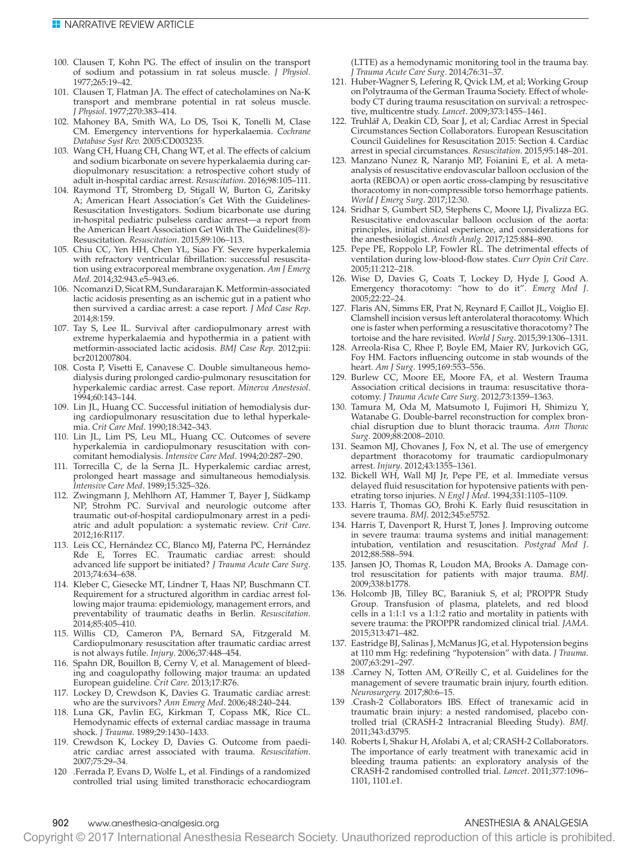- 100. Clausen T, Kohn PG. The effect of insulin on the transport of sodium and potassium in rat soleus muscle. *J Physiol*. 1977;265:19–42.
- 101. Clausen T, Flatman JA. The effect of catecholamines on Na-K transport and membrane potential in rat soleus muscle. *J Physiol*. 1977;270:383–414.
- 102. Mahoney BA, Smith WA, Lo DS, Tsoi K, Tonelli M, Clase CM. Emergency interventions for hyperkalaemia. *Cochrane Database Syst Rev.* 2005:CD003235.
- 103. Wang CH, Huang CH, Chang WT, et al. The effects of calcium and sodium bicarbonate on severe hyperkalaemia during cardiopulmonary resuscitation: a retrospective cohort study of adult in-hospital cardiac arrest. *Resuscitation*. 2016;98:105–111.
- 104. Raymond TT, Stromberg D, Stigall W, Burton G, Zaritsky A; American Heart Association's Get With the Guidelines-Resuscitation Investigators. Sodium bicarbonate use during in-hospital pediatric pulseless cardiac arrest—a report from the American Heart Association Get With The Guidelines(®)- Resuscitation. *Resuscitation*. 2015;89:106–113.
- 105. Chiu CC, Yen HH, Chen YL, Siao FY. Severe hyperkalemia with refractory ventricular fibrillation: successful resuscitation using extracorporeal membrane oxygenation. *Am J Emerg Med*. 2014;32:943.e5–943.e6.
- 106. Ncomanzi D, Sicat RM, Sundararajan K. Metformin-associated lactic acidosis presenting as an ischemic gut in a patient who then survived a cardiac arrest: a case report. *J Med Case Rep*. 2014;8:159.
- 107. Tay S, Lee IL. Survival after cardiopulmonary arrest with extreme hyperkalaemia and hypothermia in a patient with metformin-associated lactic acidosis. *BMJ Case Rep.* 2012;pii: bcr2012007804.
- 108. Costa P, Visetti E, Canavese C. Double simultaneous hemodialysis during prolonged cardio-pulmonary resuscitation for hyperkalemic cardiac arrest. Case report. *Minerva Anestesiol*. 1994;60:143–144.
- 109. Lin JL, Huang CC. Successful initiation of hemodialysis during cardiopulmonary resuscitation due to lethal hyperkalemia. *Crit Care Med*. 1990;18:342–343.
- 110. Lin JL, Lim PS, Leu ML, Huang CC. Outcomes of severe hyperkalemia in cardiopulmonary resuscitation with concomitant hemodialysis. *Intensive Care Med*. 1994;20:287–290.
- 111. Torrecilla C, de la Serna JL. Hyperkalemic cardiac arrest, prolonged heart massage and simultaneous hemodialysis. *Intensive Care Med*. 1989;15:325–326.
- 112. Zwingmann J, Mehlhorn AT, Hammer T, Bayer J, Südkamp NP, Strohm PC. Survival and neurologic outcome after traumatic out-of-hospital cardiopulmonary arrest in a pediatric and adult population: a systematic review. *Crit Care*. 2012;16:R117.
- 113. Leis CC, Hernández CC, Blanco MJ, Paterna PC, Hernández Rde E, Torres EC. Traumatic cardiac arrest: should advanced life support be initiated? *J Trauma Acute Care Surg*. 2013;74:634–638.
- 114. Kleber C, Giesecke MT, Lindner T, Haas NP, Buschmann CT. Requirement for a structured algorithm in cardiac arrest following major trauma: epidemiology, management errors, and preventability of traumatic deaths in Berlin. *Resuscitation*. 2014;85:405–410.
- 115. Willis CD, Cameron PA, Bernard SA, Fitzgerald M. Cardiopulmonary resuscitation after traumatic cardiac arrest is not always futile. *Injury*. 2006;37:448–454.
- 116. Spahn DR, Bouillon B, Cerny V, et al. Management of bleeding and coagulopathy following major trauma: an updated European guideline. *Crit Care*. 2013;17:R76.
- 117. Lockey D, Crewdson K, Davies G. Traumatic cardiac arrest: who are the survivors? *Ann Emerg Med*. 2006;48:240–244.
- 118. Luna GK, Pavlin EG, Kirkman T, Copass MK, Rice CL. Hemodynamic effects of external cardiac massage in trauma shock. *J Trauma*. 1989;29:1430–1433.
- 119. Crewdson K, Lockey D, Davies G. Outcome from paediatric cardiac arrest associated with trauma. *Resuscitation*. 2007;75:29–34.
- 120 .Ferrada P, Evans D, Wolfe L, et al. Findings of a randomized controlled trial using limited transthoracic echocardiogram

(LTTE) as a hemodynamic monitoring tool in the trauma bay. *J Trauma Acute Care Surg*. 2014;76:31–37.

- 121. Huber-Wagner S, Lefering R, Qvick LM, et al; Working Group on Polytrauma of the German Trauma Society. Effect of wholebody CT during trauma resuscitation on survival: a retrospective, multicentre study. *Lancet*. 2009;373:1455–1461.
- 122. Truhlář A, Deakin CD, Soar J, et al; Cardiac Arrest in Special Circumstances Section Collaborators. European Resuscitation Council Guidelines for Resuscitation 2015: Section 4. Cardiac arrest in special circumstances. *Resuscitation*. 2015;95:148–201.
- 123. Manzano Nunez R, Naranjo MP, Foianini E, et al. A metaanalysis of resuscitative endovascular balloon occlusion of the aorta (REBOA) or open aortic cross-clamping by resuscitative thoracotomy in non-compressible torso hemorrhage patients. *World J Emerg Surg*. 2017;12:30.
- 124. Sridhar S, Gumbert SD, Stephens C, Moore LJ, Pivalizza EG. Resuscitative endovascular balloon occlusion of the aorta: principles, initial clinical experience, and considerations for the anesthesiologist. *Anesth Analg*. 2017;125:884–890.
- 125. Pepe PE, Roppolo LP, Fowler RL. The detrimental effects of ventilation during low-blood-flow states. *Curr Opin Crit Care*. 2005;11:212–218.
- 126. Wise D, Davies G, Coats T, Lockey D, Hyde J, Good A. Emergency thoracotomy: "how to do it". *Emerg Med J*. 2005;22:22–24.
- 127. Flaris AN, Simms ER, Prat N, Reynard F, Caillot JL, Voiglio EJ. Clamshell incision versus left anterolateral thoracotomy. Which one is faster when performing a resuscitative thoracotomy? The tortoise and the hare revisited. *World J Surg*. 2015;39:1306–1311.
- 128. Arreola-Risa C, Rhee P, Boyle EM, Maier RV, Jurkovich GG, Foy HM. Factors influencing outcome in stab wounds of the heart. *Am J Surg*. 1995;169:553–556.
- 129. Burlew CC, Moore EE, Moore FA, et al. Western Trauma Association critical decisions in trauma: resuscitative thoracotomy. *J Trauma Acute Care Surg*. 2012;73:1359–1363.
- 130. Tamura M, Oda M, Matsumoto I, Fujimori H, Shimizu Y, Watanabe G. Double-barrel reconstruction for complex bronchial disruption due to blunt thoracic trauma. *Ann Thorac Surg*. 2009;88:2008–2010.
- 131. Seamon MJ, Chovanes J, Fox N, et al. The use of emergency department thoracotomy for traumatic cardiopulmonary arrest. *Injury*. 2012;43:1355–1361.
- 132. Bickell WH, Wall MJ Jr, Pepe PE, et al. Immediate versus delayed fluid resuscitation for hypotensive patients with penetrating torso injuries. *N Engl J Med*. 1994;331:1105–1109.
- 133. Harris T, Thomas GO, Brohi K. Early fluid resuscitation in severe trauma. *BMJ*. 2012;345:e5752.
- 134. Harris T, Davenport R, Hurst T, Jones J. Improving outcome in severe trauma: trauma systems and initial management: intubation, ventilation and resuscitation. *Postgrad Med J*. 2012;88:588–594.
- 135. Jansen JO, Thomas R, Loudon MA, Brooks A. Damage control resuscitation for patients with major trauma. *BMJ*. 2009;338:b1778.
- 136. Holcomb JB, Tilley BC, Baraniuk S, et al; PROPPR Study Group. Transfusion of plasma, platelets, and red blood cells in a 1:1:1 vs a 1:1:2 ratio and mortality in patients with severe trauma: the PROPPR randomized clinical trial. *JAMA*. 2015;313:471–482.
- 137. Eastridge BJ, Salinas J, McManus JG, et al. Hypotension begins at 110 mm Hg: redefining "hypotension" with data. *J Trauma*. 2007;63:291–297.
- 138 .Carney N, Totten AM, O'Reilly C, et al. Guidelines for the management of severe traumatic brain injury, fourth edition. *Neurosurgery.* 2017;80:6–15.
- .Crash-2 Collaborators IBS. Effect of tranexamic acid in traumatic brain injury: a nested randomised, placebo controlled trial (CRASH-2 Intracranial Bleeding Study). *BMJ*. 2011;343:d3795.
- 140. Roberts I, Shakur H, Afolabi A, et al; CRASH-2 Collaborators. The importance of early treatment with tranexamic acid in bleeding trauma patients: an exploratory analysis of the CRASH-2 randomised controlled trial. *Lancet*. 2011;377:1096– 1101, 1101.e1.

# 902 www.anesthesia-analgesia.org ANESTHESIA & ANALGESIA